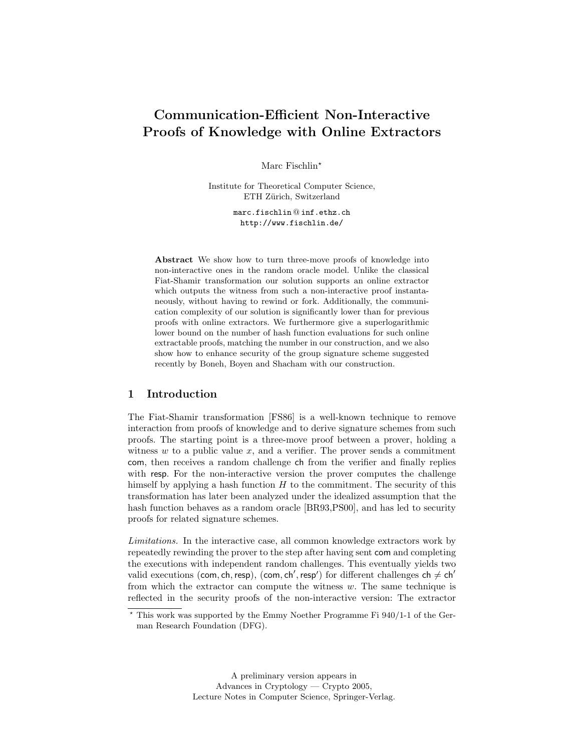# Communication-Efficient Non-Interactive Proofs of Knowledge with Online Extractors

Marc Fischlin\*

Institute for Theoretical Computer Science, ETH Zürich, Switzerland

> marc.fischlin @ inf.ethz.ch http://www.fischlin.de/

Abstract We show how to turn three-move proofs of knowledge into non-interactive ones in the random oracle model. Unlike the classical Fiat-Shamir transformation our solution supports an online extractor which outputs the witness from such a non-interactive proof instantaneously, without having to rewind or fork. Additionally, the communication complexity of our solution is significantly lower than for previous proofs with online extractors. We furthermore give a superlogarithmic lower bound on the number of hash function evaluations for such online extractable proofs, matching the number in our construction, and we also show how to enhance security of the group signature scheme suggested recently by Boneh, Boyen and Shacham with our construction.

## 1 Introduction

The Fiat-Shamir transformation [FS86] is a well-known technique to remove interaction from proofs of knowledge and to derive signature schemes from such proofs. The starting point is a three-move proof between a prover, holding a witness  $w$  to a public value  $x$ , and a verifier. The prover sends a commitment com, then receives a random challenge ch from the verifier and finally replies with resp. For the non-interactive version the prover computes the challenge himself by applying a hash function  $H$  to the commitment. The security of this transformation has later been analyzed under the idealized assumption that the hash function behaves as a random oracle [BR93, PS00], and has led to security proofs for related signature schemes.

Limitations. In the interactive case, all common knowledge extractors work by repeatedly rewinding the prover to the step after having sent com and completing the executions with independent random challenges. This eventually yields two valid executions (com, ch, resp), (com, ch', resp') for different challenges ch  $\neq$  ch' from which the extractor can compute the witness w. The same technique is reflected in the security proofs of the non-interactive version: The extractor

A preliminary version appears in Advances in Cryptology — Crypto 2005, Lecture Notes in Computer Science, Springer-Verlag.

<sup>?</sup> This work was supported by the Emmy Noether Programme Fi 940/1-1 of the German Research Foundation (DFG).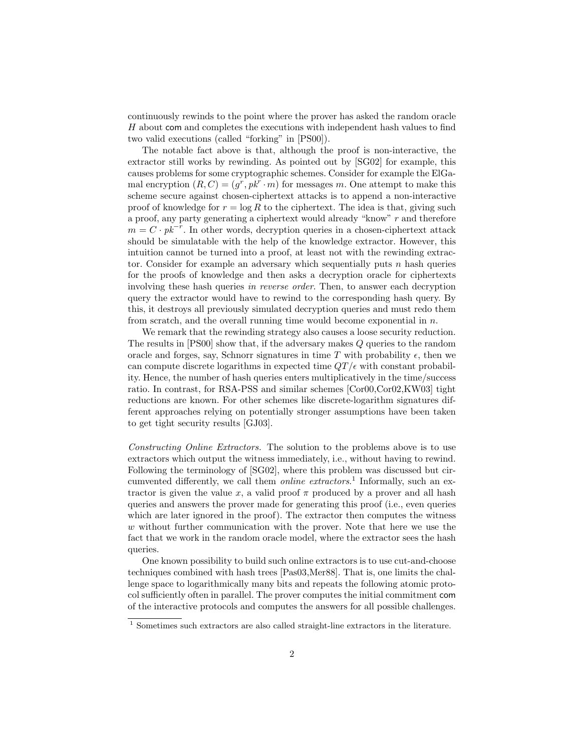continuously rewinds to the point where the prover has asked the random oracle H about com and completes the executions with independent hash values to find two valid executions (called "forking" in [PS00]).

The notable fact above is that, although the proof is non-interactive, the extractor still works by rewinding. As pointed out by [SG02] for example, this causes problems for some cryptographic schemes. Consider for example the ElGamal encryption  $(R, C) = (g^r, pk^r \cdot m)$  for messages m. One attempt to make this scheme secure against chosen-ciphertext attacks is to append a non-interactive proof of knowledge for  $r = \log R$  to the ciphertext. The idea is that, giving such a proof, any party generating a ciphertext would already "know" r and therefore  $m = C \cdot pk^{-r}$ . In other words, decryption queries in a chosen-ciphertext attack should be simulatable with the help of the knowledge extractor. However, this intuition cannot be turned into a proof, at least not with the rewinding extractor. Consider for example an adversary which sequentially puts  $n$  hash queries for the proofs of knowledge and then asks a decryption oracle for ciphertexts involving these hash queries in reverse order. Then, to answer each decryption query the extractor would have to rewind to the corresponding hash query. By this, it destroys all previously simulated decryption queries and must redo them from scratch, and the overall running time would become exponential in n.

We remark that the rewinding strategy also causes a loose security reduction. The results in [PS00] show that, if the adversary makes Q queries to the random oracle and forges, say, Schnorr signatures in time T with probability  $\epsilon$ , then we can compute discrete logarithms in expected time  $QT/\epsilon$  with constant probability. Hence, the number of hash queries enters multiplicatively in the time/success ratio. In contrast, for RSA-PSS and similar schemes [Cor00,Cor02,KW03] tight reductions are known. For other schemes like discrete-logarithm signatures different approaches relying on potentially stronger assumptions have been taken to get tight security results [GJ03].

Constructing Online Extractors. The solution to the problems above is to use extractors which output the witness immediately, i.e., without having to rewind. Following the terminology of [SG02], where this problem was discussed but circumvented differently, we call them *online extractors*.<sup>1</sup> Informally, such an extractor is given the value x, a valid proof  $\pi$  produced by a prover and all hash queries and answers the prover made for generating this proof (i.e., even queries which are later ignored in the proof). The extractor then computes the witness  $w$  without further communication with the prover. Note that here we use the fact that we work in the random oracle model, where the extractor sees the hash queries.

One known possibility to build such online extractors is to use cut-and-choose techniques combined with hash trees [Pas03,Mer88]. That is, one limits the challenge space to logarithmically many bits and repeats the following atomic protocol sufficiently often in parallel. The prover computes the initial commitment com of the interactive protocols and computes the answers for all possible challenges.

<sup>1</sup> Sometimes such extractors are also called straight-line extractors in the literature.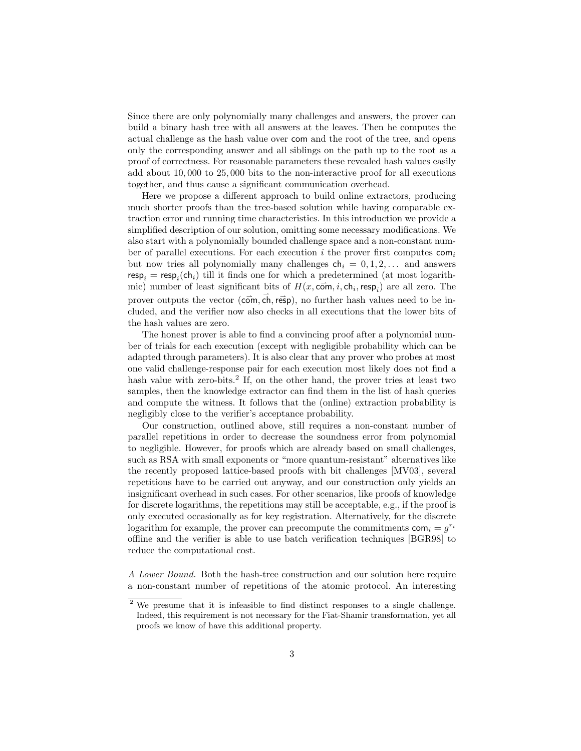Since there are only polynomially many challenges and answers, the prover can build a binary hash tree with all answers at the leaves. Then he computes the actual challenge as the hash value over com and the root of the tree, and opens only the corresponding answer and all siblings on the path up to the root as a proof of correctness. For reasonable parameters these revealed hash values easily add about 10, 000 to 25, 000 bits to the non-interactive proof for all executions together, and thus cause a significant communication overhead.

Here we propose a different approach to build online extractors, producing much shorter proofs than the tree-based solution while having comparable extraction error and running time characteristics. In this introduction we provide a simplified description of our solution, omitting some necessary modifications. We also start with a polynomially bounded challenge space and a non-constant number of parallel executions. For each execution i the prover first computes  $com_i$ but now tries all polynomially many challenges  $\mathsf{ch}_i = 0, 1, 2, \ldots$  and answers  $resp_i = resp_i(ch_i)$  till it finds one for which a predetermined (at most logarithmic) number of least significant bits of  $H(x, \overrightarrow{\text{com}}, i, \text{ch}_i, \text{resp}_i)$  are all zero. The prover outputs the vector  $(c\overrightarrow{om}, \overrightarrow{ch}, r\overrightarrow{esp})$ , no further hash values need to be included, and the verifier now also checks in all executions that the lower bits of the hash values are zero.

The honest prover is able to find a convincing proof after a polynomial number of trials for each execution (except with negligible probability which can be adapted through parameters). It is also clear that any prover who probes at most one valid challenge-response pair for each execution most likely does not find a hash value with zero-bits.<sup>2</sup> If, on the other hand, the prover tries at least two samples, then the knowledge extractor can find them in the list of hash queries and compute the witness. It follows that the (online) extraction probability is negligibly close to the verifier's acceptance probability.

Our construction, outlined above, still requires a non-constant number of parallel repetitions in order to decrease the soundness error from polynomial to negligible. However, for proofs which are already based on small challenges, such as RSA with small exponents or "more quantum-resistant" alternatives like the recently proposed lattice-based proofs with bit challenges [MV03], several repetitions have to be carried out anyway, and our construction only yields an insignificant overhead in such cases. For other scenarios, like proofs of knowledge for discrete logarithms, the repetitions may still be acceptable, e.g., if the proof is only executed occasionally as for key registration. Alternatively, for the discrete logarithm for example, the prover can precompute the commitments  $com_i = g^{r_i}$ offline and the verifier is able to use batch verification techniques [BGR98] to reduce the computational cost.

A Lower Bound. Both the hash-tree construction and our solution here require a non-constant number of repetitions of the atomic protocol. An interesting

<sup>2</sup> We presume that it is infeasible to find distinct responses to a single challenge. Indeed, this requirement is not necessary for the Fiat-Shamir transformation, yet all proofs we know of have this additional property.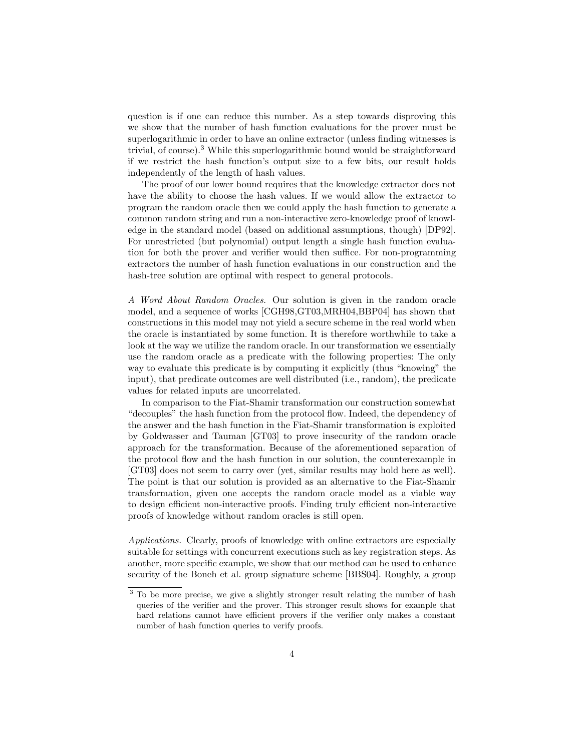question is if one can reduce this number. As a step towards disproving this we show that the number of hash function evaluations for the prover must be superlogarithmic in order to have an online extractor (unless finding witnesses is trivial, of course).<sup>3</sup> While this superlogarithmic bound would be straightforward if we restrict the hash function's output size to a few bits, our result holds independently of the length of hash values.

The proof of our lower bound requires that the knowledge extractor does not have the ability to choose the hash values. If we would allow the extractor to program the random oracle then we could apply the hash function to generate a common random string and run a non-interactive zero-knowledge proof of knowledge in the standard model (based on additional assumptions, though) [DP92]. For unrestricted (but polynomial) output length a single hash function evaluation for both the prover and verifier would then suffice. For non-programming extractors the number of hash function evaluations in our construction and the hash-tree solution are optimal with respect to general protocols.

A Word About Random Oracles. Our solution is given in the random oracle model, and a sequence of works [CGH98,GT03,MRH04,BBP04] has shown that constructions in this model may not yield a secure scheme in the real world when the oracle is instantiated by some function. It is therefore worthwhile to take a look at the way we utilize the random oracle. In our transformation we essentially use the random oracle as a predicate with the following properties: The only way to evaluate this predicate is by computing it explicitly (thus "knowing" the input), that predicate outcomes are well distributed (i.e., random), the predicate values for related inputs are uncorrelated.

In comparison to the Fiat-Shamir transformation our construction somewhat "decouples" the hash function from the protocol flow. Indeed, the dependency of the answer and the hash function in the Fiat-Shamir transformation is exploited by Goldwasser and Tauman [GT03] to prove insecurity of the random oracle approach for the transformation. Because of the aforementioned separation of the protocol flow and the hash function in our solution, the counterexample in [GT03] does not seem to carry over (yet, similar results may hold here as well). The point is that our solution is provided as an alternative to the Fiat-Shamir transformation, given one accepts the random oracle model as a viable way to design efficient non-interactive proofs. Finding truly efficient non-interactive proofs of knowledge without random oracles is still open.

Applications. Clearly, proofs of knowledge with online extractors are especially suitable for settings with concurrent executions such as key registration steps. As another, more specific example, we show that our method can be used to enhance security of the Boneh et al. group signature scheme [BBS04]. Roughly, a group

<sup>&</sup>lt;sup>3</sup> To be more precise, we give a slightly stronger result relating the number of hash queries of the verifier and the prover. This stronger result shows for example that hard relations cannot have efficient provers if the verifier only makes a constant number of hash function queries to verify proofs.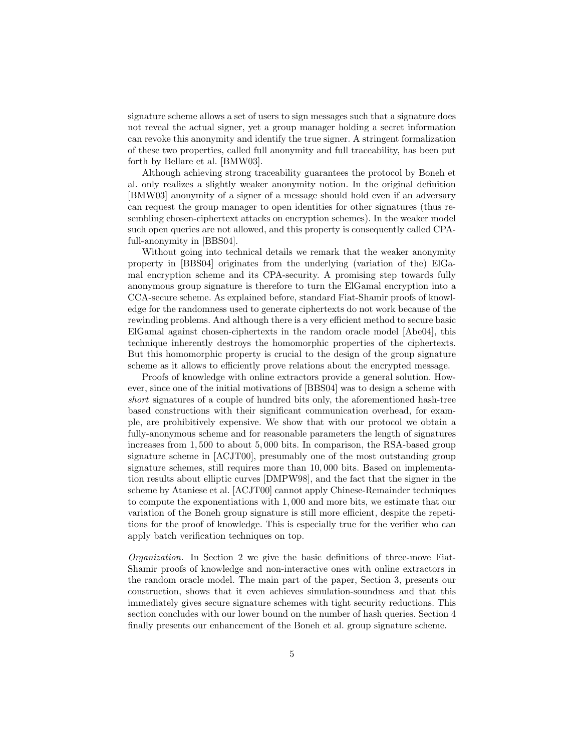signature scheme allows a set of users to sign messages such that a signature does not reveal the actual signer, yet a group manager holding a secret information can revoke this anonymity and identify the true signer. A stringent formalization of these two properties, called full anonymity and full traceability, has been put forth by Bellare et al. [BMW03].

Although achieving strong traceability guarantees the protocol by Boneh et al. only realizes a slightly weaker anonymity notion. In the original definition [BMW03] anonymity of a signer of a message should hold even if an adversary can request the group manager to open identities for other signatures (thus resembling chosen-ciphertext attacks on encryption schemes). In the weaker model such open queries are not allowed, and this property is consequently called CPAfull-anonymity in [BBS04].

Without going into technical details we remark that the weaker anonymity property in [BBS04] originates from the underlying (variation of the) ElGamal encryption scheme and its CPA-security. A promising step towards fully anonymous group signature is therefore to turn the ElGamal encryption into a CCA-secure scheme. As explained before, standard Fiat-Shamir proofs of knowledge for the randomness used to generate ciphertexts do not work because of the rewinding problems. And although there is a very efficient method to secure basic ElGamal against chosen-ciphertexts in the random oracle model [Abe04], this technique inherently destroys the homomorphic properties of the ciphertexts. But this homomorphic property is crucial to the design of the group signature scheme as it allows to efficiently prove relations about the encrypted message.

Proofs of knowledge with online extractors provide a general solution. However, since one of the initial motivations of [BBS04] was to design a scheme with short signatures of a couple of hundred bits only, the aforementioned hash-tree based constructions with their significant communication overhead, for example, are prohibitively expensive. We show that with our protocol we obtain a fully-anonymous scheme and for reasonable parameters the length of signatures increases from 1, 500 to about 5, 000 bits. In comparison, the RSA-based group signature scheme in [ACJT00], presumably one of the most outstanding group signature schemes, still requires more than 10, 000 bits. Based on implementation results about elliptic curves [DMPW98], and the fact that the signer in the scheme by Ataniese et al. [ACJT00] cannot apply Chinese-Remainder techniques to compute the exponentiations with 1, 000 and more bits, we estimate that our variation of the Boneh group signature is still more efficient, despite the repetitions for the proof of knowledge. This is especially true for the verifier who can apply batch verification techniques on top.

Organization. In Section 2 we give the basic definitions of three-move Fiat-Shamir proofs of knowledge and non-interactive ones with online extractors in the random oracle model. The main part of the paper, Section 3, presents our construction, shows that it even achieves simulation-soundness and that this immediately gives secure signature schemes with tight security reductions. This section concludes with our lower bound on the number of hash queries. Section 4 finally presents our enhancement of the Boneh et al. group signature scheme.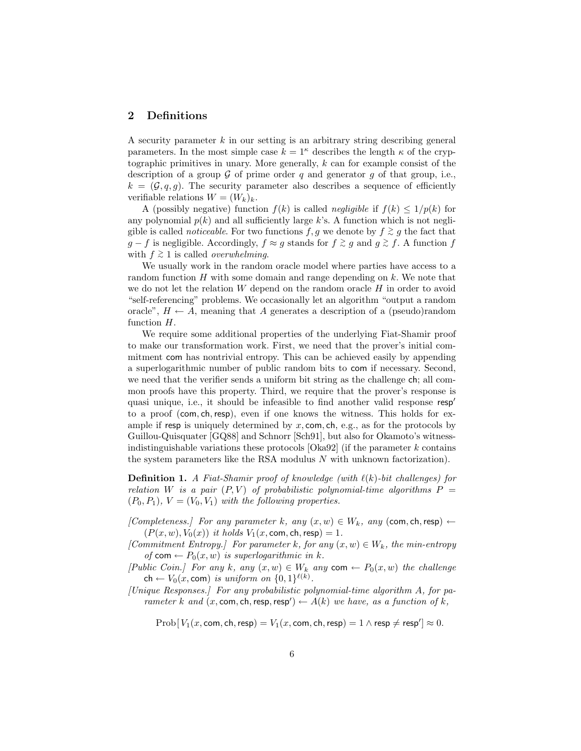# 2 Definitions

A security parameter  $k$  in our setting is an arbitrary string describing general parameters. In the most simple case  $k = 1^{\kappa}$  describes the length  $\kappa$  of the cryptographic primitives in unary. More generally, k can for example consist of the description of a group  $\mathcal G$  of prime order q and generator q of that group, i.e.,  $k = (\mathcal{G}, q, g)$ . The security parameter also describes a sequence of efficiently verifiable relations  $W = (W_k)_k$ .

A (possibly negative) function  $f(k)$  is called *negligible* if  $f(k) \leq 1/p(k)$  for any polynomial  $p(k)$  and all sufficiently large k's. A function which is not negligible is called *noticeable*. For two functions  $f, g$  we denote by  $f \gtrsim g$  the fact that  $g - f$  is negligible. Accordingly,  $f \approx g$  stands for  $f \gtrsim g$  and  $g \gtrsim f$ . A function f with  $f \gtrsim 1$  is called *overwhelming*.

We usually work in the random oracle model where parties have access to a random function H with some domain and range depending on k. We note that we do not let the relation  $W$  depend on the random oracle  $H$  in order to avoid "self-referencing" problems. We occasionally let an algorithm "output a random oracle",  $H \leftarrow A$ , meaning that A generates a description of a (pseudo)random function H.

We require some additional properties of the underlying Fiat-Shamir proof to make our transformation work. First, we need that the prover's initial commitment com has nontrivial entropy. This can be achieved easily by appending a superlogarithmic number of public random bits to com if necessary. Second, we need that the verifier sends a uniform bit string as the challenge ch; all common proofs have this property. Third, we require that the prover's response is quasi unique, i.e., it should be infeasible to find another valid response resp<sup>'</sup> to a proof (com, ch, resp), even if one knows the witness. This holds for example if resp is uniquely determined by  $x$ , com, ch, e.g., as for the protocols by Guillou-Quisquater [GQ88] and Schnorr [Sch91], but also for Okamoto's witnessindistinguishable variations these protocols  $[Ok492]$  (if the parameter k contains the system parameters like the RSA modulus  $N$  with unknown factorization).

**Definition 1.** A Fiat-Shamir proof of knowledge (with  $\ell(k)$ -bit challenges) for relation W is a pair  $(P, V)$  of probabilistic polynomial-time algorithms  $P =$  $(P_0, P_1), V = (V_0, V_1)$  with the following properties.

[Completeness.] For any parameter k, any  $(x, w) \in W_k$ , any  $(\text{com}, \text{ch}, \text{resp}) \leftarrow$  $(P(x, w), V_0(x))$  it holds  $V_1(x, \text{com}, \text{ch}, \text{resp}) = 1$ .

[Commitment Entropy.] For parameter k, for any  $(x, w) \in W_k$ , the min-entropy of com  $\leftarrow P_0(x, w)$  is superlogarithmic in k.

[Public Coin.] For any k, any  $(x, w) \in W_k$  any com  $\leftarrow P_0(x, w)$  the challenge  $\mathsf{ch} \leftarrow V_0(x, \mathsf{com}) \ \mathit{is} \ \mathit{uniform} \ \mathit{on} \ \{0,1\}^{\ell(k)}.$ 

 $[Unique Respones.]$  For any probabilistic polynomial-time algorithm A, for parameter k and  $(x, \text{com}, \text{ch}, \text{resp}, \text{resp}') \leftarrow A(k)$  we have, as a function of k,

 $\mathrm{Prob}\,[\,V_1(x,\mathsf{com},\mathsf{ch},\mathsf{resp})=V_1(x,\mathsf{com},\mathsf{ch},\mathsf{resp})=1 \land \mathsf{resp} \neq \mathsf{resp'}\,]\approx 0.$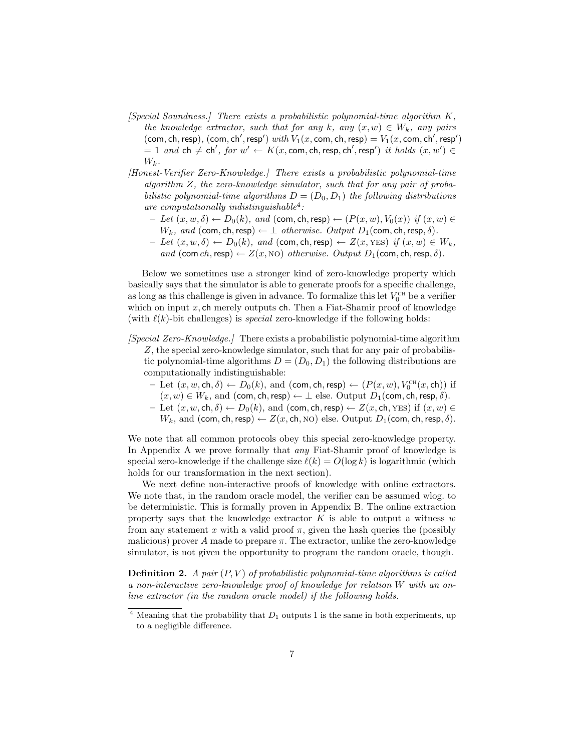- $[Special\, Somdness.]$  There exists a probabilistic polynomial-time algorithm  $K$ , the knowledge extractor, such that for any k, any  $(x, w) \in W_k$ , any pairs  $(\mathsf{com}, \mathsf{ch}, \mathsf{resp}),\, (\mathsf{com}, \mathsf{ch}', \mathsf{resp}')\; \mathit{with}\; V_1(x, \mathsf{com}, \mathsf{ch}, \mathsf{resp}) = V_1(x, \mathsf{com}, \mathsf{ch}', \mathsf{resp}')$  $= 1$  and ch  $\neq$  ch', for  $w' \leftarrow K(x, \text{com}, \text{ch}, \text{resp}, \text{ch}', \text{resp}')$  it holds  $(x, w') \in$  $W_k$ .
- [Honest-Verifier Zero-Knowledge.] There exists a probabilistic polynomial-time algorithm Z, the zero-knowledge simulator, such that for any pair of probabilistic polynomial-time algorithms  $D = (D_0, D_1)$  the following distributions are computationally indistinguishable<sup>4</sup>:
	- $-$  Let  $(x, w, δ)$  ← D<sub>0</sub>(k), and (com, ch, resp) ← ( $P(x, w)$ ,  $V_0(x)$ ) if  $(x, w)$  ∈  $W_k$ , and (com, ch, resp)  $\leftarrow \perp$  otherwise. Output  $D_1$ (com, ch, resp,  $\delta$ ).
	- $−$  Let  $(x, w, δ)$  ← D<sub>0</sub>(k), and (com, ch, resp) ← Z(x, YES) if  $(x, w) \in W_k$ , and (com ch, resp)  $\leftarrow Z(x, \text{NO})$  otherwise. Output  $D_1(\text{com}, \text{ch}, \text{resp}, \delta)$ .

Below we sometimes use a stronger kind of zero-knowledge property which basically says that the simulator is able to generate proofs for a specific challenge, as long as this challenge is given in advance. To formalize this let  $V_0^{\text{CH}}$  be a verifier which on input  $x$ , ch merely outputs ch. Then a Fiat-Shamir proof of knowledge (with  $\ell(k)$ -bit challenges) is special zero-knowledge if the following holds:

- [Special Zero-Knowledge.] There exists a probabilistic polynomial-time algorithm Z, the special zero-knowledge simulator, such that for any pair of probabilistic polynomial-time algorithms  $D = (D_0, D_1)$  the following distributions are computationally indistinguishable:
	- $-$  Let  $(x, w, ch, \delta) \leftarrow D_0(k)$ , and  $(\text{com}, ch, resp) \leftarrow (P(x, w), V_0^{\text{CH}}(x, ch))$  if  $(x, w) \in W_k$ , and  $(\text{com}, \text{ch}, \text{resp}) \leftarrow \perp$  else. Output  $D_1(\text{com}, \text{ch}, \text{resp}, \delta)$ .
	- Let  $(x, w, ch, \delta) \leftarrow D_0(k)$ , and  $(\text{com}, ch, resp) \leftarrow Z(x, ch, Yes)$  if  $(x, w) \in$  $W_k$ , and (com, ch, resp)  $\leftarrow Z(x, ch, NO)$  else. Output  $D_1$ (com, ch, resp,  $\delta$ ).

We note that all common protocols obey this special zero-knowledge property. In Appendix A we prove formally that *any* Fiat-Shamir proof of knowledge is special zero-knowledge if the challenge size  $\ell(k) = O(\log k)$  is logarithmic (which holds for our transformation in the next section).

We next define non-interactive proofs of knowledge with online extractors. We note that, in the random oracle model, the verifier can be assumed wlog. to be deterministic. This is formally proven in Appendix B. The online extraction property says that the knowledge extractor K is able to output a witness  $w$ from any statement x with a valid proof  $\pi$ , given the hash queries the (possibly malicious) prover A made to prepare  $\pi$ . The extractor, unlike the zero-knowledge simulator, is not given the opportunity to program the random oracle, though.

**Definition 2.** A pair  $(P, V)$  of probabilistic polynomial-time algorithms is called a non-interactive zero-knowledge proof of knowledge for relation W with an online extractor (in the random oracle model) if the following holds.

 $4$  Meaning that the probability that  $D_1$  outputs 1 is the same in both experiments, up to a negligible difference.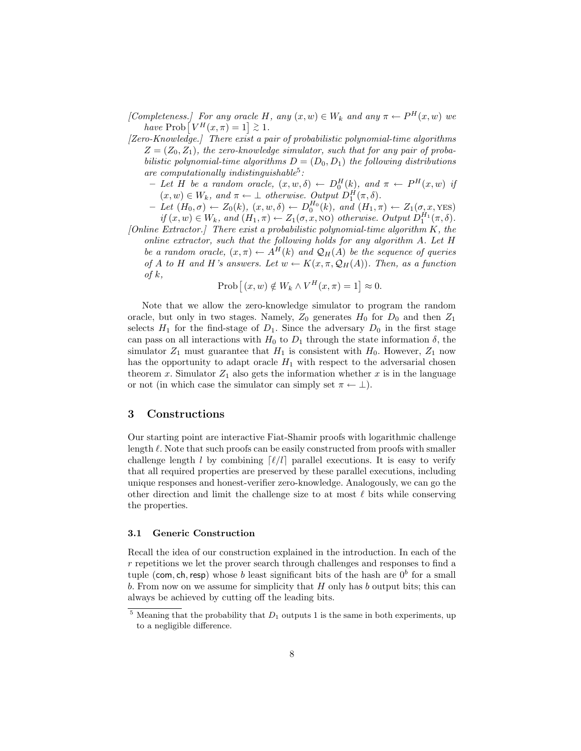- [Completeness.] For any oracle H, any  $(x, w) \in W_k$  and any  $\pi \leftarrow P^H(x, w)$  we have  $\text{Prob}\left[V^H(x,\pi)=1\right] \gtrsim 1.$
- [Zero-Knowledge.] There exist a pair of probabilistic polynomial-time algorithms  $Z = (Z_0, Z_1)$ , the zero-knowledge simulator, such that for any pair of probabilistic polynomial-time algorithms  $D = (D_0, D_1)$  the following distributions are computationally indistinguishable<sup>5</sup>:
	- Let H be a random oracle,  $(x, w, \delta) \leftarrow D_0^H(k)$ , and  $\pi \leftarrow P^H(x, w)$  if  $(x, w) \in W_k$ , and  $\pi \leftarrow \perp$  otherwise. Output  $D_1^H(\pi, \delta)$ .
	- $-Iet(H_0,\sigma) \leftarrow Z_0(k), (x,w,\delta) \leftarrow D_0^{H_0}(k), \text{ and } (H_1,\pi) \leftarrow Z_1(\sigma, x, \text{YES})$  $if (x, w) \in W_k$ , and  $(H_1, \pi) \leftarrow Z_1(\sigma, x, \text{no})$  otherwise. Output  $D_1^{H_1}(\pi, \delta)$ .
- $[Online~Extractor.]$  There exist a probabilistic polynomial-time algorithm  $K$ , the online extractor, such that the following holds for any algorithm A. Let H be a random oracle,  $(x, \pi) \leftarrow A^H(k)$  and  $\mathcal{Q}_H(A)$  be the sequence of queries of A to H and H's answers. Let  $w \leftarrow K(x, \pi, \mathcal{Q}_H(A))$ . Then, as a function of  $k$ ,

$$
\text{Prob}\left[ (x, w) \notin W_k \land V^H(x, \pi) = 1 \right] \approx 0.
$$

Note that we allow the zero-knowledge simulator to program the random oracle, but only in two stages. Namely,  $Z_0$  generates  $H_0$  for  $D_0$  and then  $Z_1$ selects  $H_1$  for the find-stage of  $D_1$ . Since the adversary  $D_0$  in the first stage can pass on all interactions with  $H_0$  to  $D_1$  through the state information  $\delta$ , the simulator  $Z_1$  must guarantee that  $H_1$  is consistent with  $H_0$ . However,  $Z_1$  now has the opportunity to adapt oracle  $H_1$  with respect to the adversarial chosen theorem x. Simulator  $Z_1$  also gets the information whether x is in the language or not (in which case the simulator can simply set  $\pi \leftarrow \perp$ ).

## 3 Constructions

Our starting point are interactive Fiat-Shamir proofs with logarithmic challenge length  $\ell$ . Note that such proofs can be easily constructed from proofs with smaller challenge length l by combining  $\lceil \ell/l \rceil$  parallel executions. It is easy to verify that all required properties are preserved by these parallel executions, including unique responses and honest-verifier zero-knowledge. Analogously, we can go the other direction and limit the challenge size to at most  $\ell$  bits while conserving the properties.

### 3.1 Generic Construction

Recall the idea of our construction explained in the introduction. In each of the r repetitions we let the prover search through challenges and responses to find a tuple (com, ch, resp) whose b least significant bits of the hash are  $0^b$  for a small b. From now on we assume for simplicity that  $H$  only has b output bits; this can always be achieved by cutting off the leading bits.

 $5$  Meaning that the probability that  $D_1$  outputs 1 is the same in both experiments, up to a negligible difference.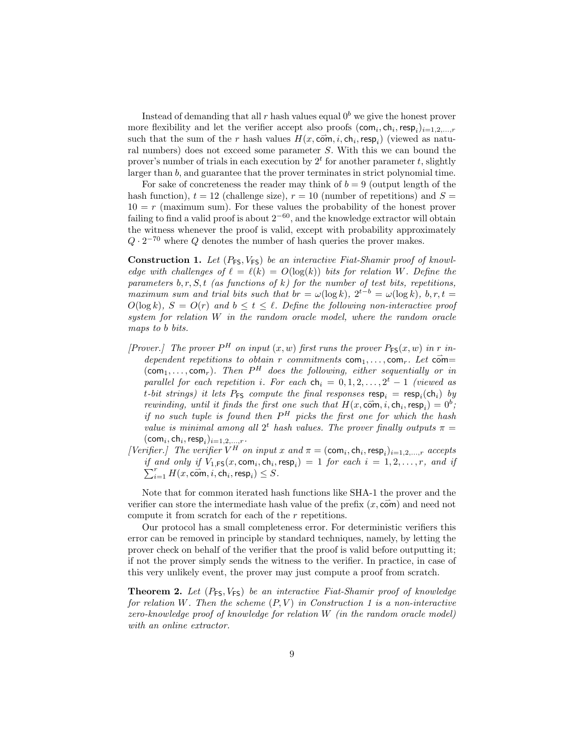Instead of demanding that all r hash values equal  $0<sup>b</sup>$  we give the honest prover more flexibility and let the verifier accept also proofs  $(\text{com}_i, \text{ch}_i, \text{resp}_i)_{i=1,2,\dots,r}$ such that the sum of the r hash values  $H(x, \overrightarrow{\text{com}}, i, \text{ch}_i, \text{resp}_i)$  (viewed as natural numbers) does not exceed some parameter S. With this we can bound the prover's number of trials in each execution by  $2<sup>t</sup>$  for another parameter t, slightly larger than b, and guarantee that the prover terminates in strict polynomial time.

For sake of concreteness the reader may think of  $b = 9$  (output length of the hash function),  $t = 12$  (challenge size),  $r = 10$  (number of repetitions) and  $S =$  $10 = r$  (maximum sum). For these values the probability of the honest prover failing to find a valid proof is about  $2^{-60}$ , and the knowledge extractor will obtain the witness whenever the proof is valid, except with probability approximately  $Q \cdot 2^{-70}$  where Q denotes the number of hash queries the prover makes.

Construction 1. Let  $(P_{FS}, V_{FS})$  be an interactive Fiat-Shamir proof of knowledge with challenges of  $\ell = \ell(k) = O(\log(k))$  bits for relation W. Define the parameters  $b, r, S, t$  (as functions of k) for the number of test bits, repetitions, maximum sum and trial bits such that  $br = \omega(\log k)$ ,  $2^{t-b} = \omega(\log k)$ ,  $b, r, t =$  $O(\log k)$ ,  $S = O(r)$  and  $b \le t \le \ell$ . Define the following non-interactive proof system for relation W in the random oracle model, where the random oracle maps to b bits.

- [Prover.] The prover  $P^H$  on input  $(x, w)$  first runs the prover  $P_{FS}(x, w)$  in r independent repetitions to obtain r commitments  $com_1, \ldots, com_r$ . Let  $c\overrightarrow{om}$  $(\text{com}_1, \ldots, \text{com}_r)$ . Then  $P^H$  does the following, either sequentially or in parallel for each repetition i. For each  $\mathsf{ch}_i = 0, 1, 2, \ldots, 2^t - 1$  (viewed as t-bit strings) it lets  $P_{\mathsf{FS}}$  compute the final responses  $\mathsf{resp}_i = \mathsf{resp}_i(\mathsf{ch}_i)$  by rewinding, until it finds the first one such that  $H(x, c\overrightarrow{\text{om}}, i, \text{ch}_i, \text{resp}_i) = 0^b$ ; if no such tuple is found then  $P^H$  picks the first one for which the hash value is minimal among all  $2^t$  hash values. The prover finally outputs  $\pi =$  $(\mathsf{com}_i, \mathsf{ch}_i, \mathsf{resp}_i)_{i=1,2,...,r}.$
- [Verifier.] The verifier  $V^H$  on input x and  $\pi = (\text{com}_i, \text{ch}_i, \text{resp}_i)_{i=1,2,\dots,r}$  accepts if and only if  $V_{1,\text{FS}}(x, \text{com}_i, \text{ch}_i, \text{resp}_i) = 1$  for each  $i = 1, 2, ..., r$ , and if  $\sum_{i=1}^r H(x, \mathsf{c}\overline{\mathsf{o}}\mathsf{m}, i, \mathsf{ch}_i, \mathsf{resp}_i) \leq S.$

Note that for common iterated hash functions like SHA-1 the prover and the verifier can store the intermediate hash value of the prefix  $(x, c<sub>om</sub>)$  and need not compute it from scratch for each of the r repetitions.

Our protocol has a small completeness error. For deterministic verifiers this error can be removed in principle by standard techniques, namely, by letting the prover check on behalf of the verifier that the proof is valid before outputting it; if not the prover simply sends the witness to the verifier. In practice, in case of this very unlikely event, the prover may just compute a proof from scratch.

**Theorem 2.** Let  $(P_{FS}, V_{FS})$  be an interactive Fiat-Shamir proof of knowledge for relation W. Then the scheme  $(P, V)$  in Construction 1 is a non-interactive zero-knowledge proof of knowledge for relation W (in the random oracle model) with an online extractor.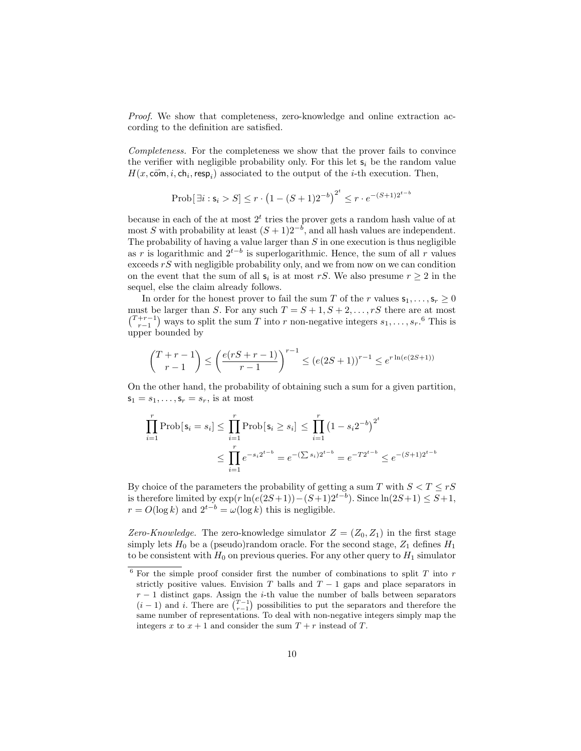Proof. We show that completeness, zero-knowledge and online extraction according to the definition are satisfied.

Completeness. For the completeness we show that the prover fails to convince the verifier with negligible probability only. For this let  $s_i$  be the random value  $H(x, \tilde{\text{com}}, i, \text{ch}_i, \text{resp}_i)$  associated to the output of the *i*-th execution. Then,

$$
Prob[\exists i : s_i > S] \le r \cdot (1 - (S+1)2^{-b})^{2^t} \le r \cdot e^{-(S+1)2^{t-b}}
$$

because in each of the at most  $2<sup>t</sup>$  tries the prover gets a random hash value of at most S with probability at least  $(S + 1)2^{-b}$ , and all hash values are independent. The probability of having a value larger than  $S$  in one execution is thus negligible as r is logarithmic and  $2^{t-b}$  is superlogarithmic. Hence, the sum of all r values exceeds  $rS$  with negligible probability only, and we from now on we can condition on the event that the sum of all  $s_i$  is at most rS. We also presume  $r \geq 2$  in the sequel, else the claim already follows.

In order for the honest prover to fail the sum T of the r values  $s_1, \ldots, s_r \geq 0$ must be larger than S. For any such  $T = S + 1, S + 2, \ldots, rS$  there are at most  $\binom{T+r-1}{r-1}$  ways to split the sum T into r non-negative integers  $s_1, \ldots, s_r$ .<sup>6</sup> This is upper bounded by

$$
\binom{T+r-1}{r-1} \le \left(\frac{e(rS+r-1)}{r-1}\right)^{r-1} \le (e(2S+1))^{r-1} \le e^{r\ln(e(2S+1))}
$$

On the other hand, the probability of obtaining such a sum for a given partition,  $s_1 = s_1, \ldots, s_r = s_r$ , is at most

$$
\prod_{i=1}^{r} \text{Prob}[s_i = s_i] \le \prod_{i=1}^{r} \text{Prob}[s_i \ge s_i] \le \prod_{i=1}^{r} (1 - s_i 2^{-b})^{2^t}
$$

$$
\le \prod_{i=1}^{r} e^{-s_i 2^{t-b}} = e^{-(\sum s_i) 2^{t-b}} = e^{-T2^{t-b}} \le e^{-(S+1)2^{t-b}}
$$

By choice of the parameters the probability of getting a sum T with  $S < T \leq rS$ is therefore limited by  $\exp(r\ln(e(2S+1)) - (S+1)2^{t-b})$ . Since  $\ln(2S+1) \leq S+1$ ,  $r = O(\log k)$  and  $2^{t-b} = \omega(\log k)$  this is negligible.

Zero-Knowledge. The zero-knowledge simulator  $Z = (Z_0, Z_1)$  in the first stage simply lets  $H_0$  be a (pseudo)random oracle. For the second stage,  $Z_1$  defines  $H_1$ to be consistent with  $H_0$  on previous queries. For any other query to  $H_1$  simulator

 $6$  For the simple proof consider first the number of combinations to split T into r strictly positive values. Envision T balls and  $T - 1$  gaps and place separators in  $r - 1$  distinct gaps. Assign the *i*-th value the number of balls between separators  $(i - 1)$  and i. There are  $\binom{T-1}{r-1}$  possibilities to put the separators and therefore the same number of representations. To deal with non-negative integers simply map the integers x to  $x + 1$  and consider the sum  $T + r$  instead of T.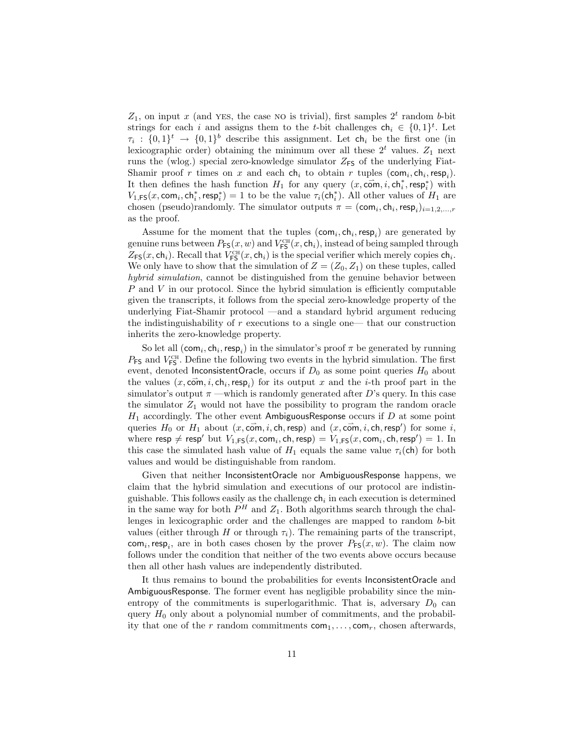$Z_1$ , on input x (and YES, the case NO is trivial), first samples  $2<sup>t</sup>$  random b-bit strings for each i and assigns them to the t-bit challenges  $\mathsf{ch}_i \in \{0,1\}^t$ . Let  $\tau_i : \{0,1\}^t \to \{0,1\}^b$  describe this assignment. Let  $\mathsf{ch}_i$  be the first one (in lexicographic order) obtaining the minimum over all these  $2<sup>t</sup>$  values.  $Z<sub>1</sub>$  next runs the (wlog.) special zero-knowledge simulator  $Z_{FS}$  of the underlying Fiat-Shamir proof r times on x and each  $\mathsf{ch}_i$  to obtain r tuples  $(\mathsf{com}_i, \mathsf{ch}_i, \mathsf{resp}_i)$ . It then defines the hash function  $H_1$  for any query  $(x, \overrightarrow{\text{com}}, i, \text{ch}_i^*, \text{resp}_i^*)$  with  $V_{1,\text{FS}}(x, \text{com}_i, \text{ch}_i^*, \text{resp}_i^*) = 1$  to be the value  $\tau_i(\text{ch}_i^*)$ . All other values of  $H_1$  are chosen (pseudo)randomly. The simulator outputs  $\pi = (\text{com}_i, \text{ch}_i, \text{resp}_i)_{i=1,2,\dots,r}$ as the proof.

Assume for the moment that the tuples  $(\mathsf{com}_i, \mathsf{ch}_i, \mathsf{resp}_i)$  are generated by genuine runs between  $P_{\text{FS}}(x, w)$  and  $V_{\text{FS}}^{\text{CH}}(x, ch_i)$ , instead of being sampled through  $Z_{FS}(x, ch_i)$ . Recall that  $V_{FS}^{\text{CH}}(x, ch_i)$  is the special verifier which merely copies  $ch_i$ . We only have to show that the simulation of  $Z = (Z_0, Z_1)$  on these tuples, called hybrid simulation, cannot be distinguished from the genuine behavior between P and V in our protocol. Since the hybrid simulation is efficiently computable given the transcripts, it follows from the special zero-knowledge property of the underlying Fiat-Shamir protocol —and a standard hybrid argument reducing the indistinguishability of  $r$  executions to a single one— that our construction inherits the zero-knowledge property.

So let all  $(\text{com}_i, \text{ch}_i, \text{resp}_i)$  in the simulator's proof  $\pi$  be generated by running  $P_{FS}$  and  $V_{FS}^{CH}$ . Define the following two events in the hybrid simulation. The first event, denoted InconsistentOracle, occurs if  $D_0$  as some point queries  $H_0$  about the values  $(x, \overrightarrow{\text{com}}, i, \text{ch}_i, \text{resp}_i)$  for its output x and the *i*-th proof part in the simulator's output  $\pi$  —which is randomly generated after D's query. In this case the simulator  $Z_1$  would not have the possibility to program the random oracle  $H_1$  accordingly. The other event AmbiguousResponse occurs if  $D$  at some point queries  $H_0$  or  $H_1$  about  $(x, \overrightarrow{\text{com}}, i, \text{ch}, \text{resp})$  and  $(x, \overrightarrow{\text{com}}, i, \text{ch}, \text{resp'})$  for some i, where  $\text{resp} \neq \text{resp}'$  but  $V_{1,\text{FS}}(x, \text{com}_i, \text{ch}, \text{resp}) = V_{1,\text{FS}}(x, \text{com}_i, \text{ch}, \text{resp}') = 1$ . In this case the simulated hash value of  $H_1$  equals the same value  $\tau_i(\text{ch})$  for both values and would be distinguishable from random.

Given that neither InconsistentOracle nor AmbiguousResponse happens, we claim that the hybrid simulation and executions of our protocol are indistinguishable. This follows easily as the challenge  $\mathsf{ch}_i$  in each execution is determined in the same way for both  $P^H$  and  $Z_1$ . Both algorithms search through the challenges in lexicographic order and the challenges are mapped to random b-bit values (either through H or through  $\tau_i$ ). The remaining parts of the transcript,  $\text{com}_i, \text{resp}_i$ , are in both cases chosen by the prover  $P_{\text{FS}}(x, w)$ . The claim now follows under the condition that neither of the two events above occurs because then all other hash values are independently distributed.

It thus remains to bound the probabilities for events InconsistentOracle and AmbiguousResponse. The former event has negligible probability since the minentropy of the commitments is superlogarithmic. That is, adversary  $D_0$  can query  $H_0$  only about a polynomial number of commitments, and the probability that one of the r random commitments  $com_1, \ldots, com_r$ , chosen afterwards,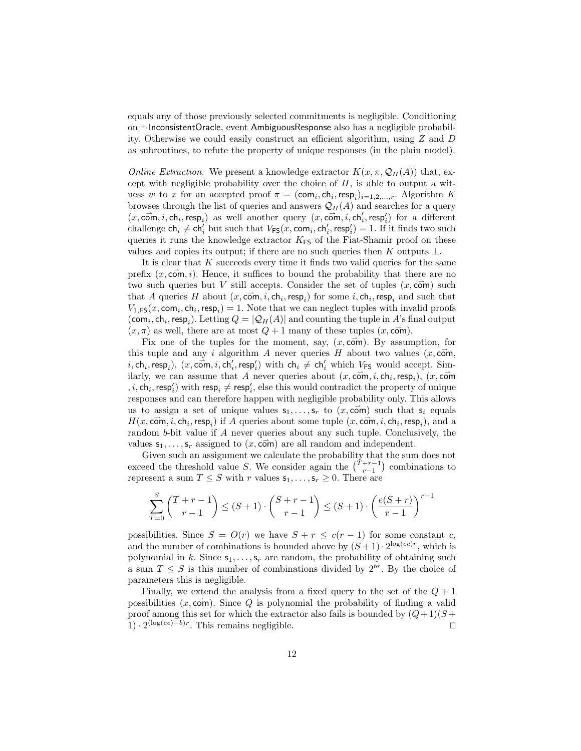equals any of those previously selected commitments is negligible. Conditioning on ¬InconsistentOracle, event AmbiguousResponse also has a negligible probability. Otherwise we could easily construct an efficient algorithm, using Z and D as subroutines, to refute the property of unique responses (in the plain model).

Online Extraction. We present a knowledge extractor  $K(x, \pi, \mathcal{Q}_{H}(A))$  that, except with negligible probability over the choice of  $H$ , is able to output a witness w to x for an accepted proof  $\pi = (\text{com}_i, \text{ch}_i, \text{resp}_i)_{i=1,2,\dots,r}$ . Algorithm K browses through the list of queries and answers  $\mathcal{Q}_H(A)$  and searches for a query  $(x, \overrightarrow{\text{com}}, i, \text{ch}_i, \text{resp}_i)$  as well another query  $(x, \overrightarrow{\text{com}}, i, \text{ch}'_i, \text{resp}'_i)$  for a different challenge  $\mathsf{ch}_i \neq \mathsf{ch}'_i$  but such that  $V_{\mathsf{FS}}(x, \mathsf{com}_i, \mathsf{ch}'_i, \mathsf{resp}'_i) = 1$ . If it finds two such queries it runs the knowledge extractor  $K_{FS}$  of the Fiat-Shamir proof on these values and copies its output; if there are no such queries then K outputs  $\perp$ .

It is clear that  $K$  succeeds every time it finds two valid queries for the same prefix  $(x, c\overrightarrow{\text{om}}, i)$ . Hence, it suffices to bound the probability that there are no two such queries but V still accepts. Consider the set of tuples  $(x, c<sub>om</sub>)$  such that A queries H about  $(x, \overrightarrow{\text{com}}, i, \text{ch}_i, \text{resp}_i)$  for some  $i, \text{ch}_i, \text{resp}_i$  and such that  $V_{1,\text{FS}}(x, \text{com}_i, \text{ch}_i, \text{resp}_i) = 1.$  Note that we can neglect tuples with invalid proofs (com<sub>i</sub>, ch<sub>i</sub>, resp<sub>i</sub>). Letting  $Q = |Q_H(A)|$  and counting the tuple in A's final output  $(x, \pi)$  as well, there are at most  $Q + 1$  many of these tuples  $(x, \text{còm})$ .

Fix one of the tuples for the moment, say,  $(x, c\overrightarrow{\text{om}})$ . By assumption, for this tuple and any i algorithm A never queries  $H$  about two values  $(x, c\overrightarrow{\text{om}},$  $i,$  ch<sub>i</sub>, resp<sub>i</sub>),  $(x, \overrightarrow{\text{com}}, i, \text{ch}'_i, \text{resp}'_i)$  with  $\text{ch}_i \neq \text{ch}'_i$  which  $V_{FS}$  would accept. Similarly, we can assume that A never queries about  $(x, \overrightarrow{\text{com}}, i, \text{ch}_i, \text{resp}_i), (x, \overrightarrow{\text{com}})$ ,  $i$ , ch<sub>i</sub>, resp<sub>i</sub> with resp<sub>i</sub>  $\neq$  resp<sub>i</sub>, else this would contradict the property of unique responses and can therefore happen with negligible probability only. This allows us to assign a set of unique values  $s_1, \ldots, s_r$  to  $(x, c\overrightarrow{\text{om}})$  such that  $s_i$  equals  $H(x, \text{còm}, i, \text{ch}_i, \text{resp}_i)$  if A queries about some tuple  $(x, \text{còm}, i, \text{ch}_i, \text{resp}_i)$ , and a random b-bit value if A never queries about any such tuple. Conclusively, the values  $s_1, \ldots, s_r$  assigned to  $(x, c\overrightarrow{om})$  are all random and independent.

Given such an assignment we calculate the probability that the sum does not exceed the threshold value S. We consider again the  $\binom{T+r-1}{r-1}$  combinations to represent a sum  $T \leq S$  with r values  $\mathsf{s}_1,\ldots,\mathsf{s}_r \geq 0$ . There are

$$
\sum_{T=0}^S \binom{T+r-1}{r-1} \leq (S+1) \cdot \binom{S+r-1}{r-1} \leq (S+1) \cdot \left(\frac{e(S+r)}{r-1}\right)^{r-1}
$$

possibilities. Since  $S = O(r)$  we have  $S + r \leq c(r - 1)$  for some constant c, and the number of combinations is bounded above by  $(S+1) \cdot 2^{\log(ec)r}$ , which is polynomial in k. Since  $s_1, \ldots, s_r$  are random, the probability of obtaining such a sum  $T \leq S$  is this number of combinations divided by  $2^{br}$ . By the choice of parameters this is negligible.

Finally, we extend the analysis from a fixed query to the set of the  $Q + 1$ possibilities  $(x, c<sub>om</sub>)$ . Since Q is polynomial the probability of finding a valid proof among this set for which the extractor also fails is bounded by  $(Q+1)(S+$ 1) ·  $2^{(\log(ec)-b)r}$ . This remains negligible.  $□$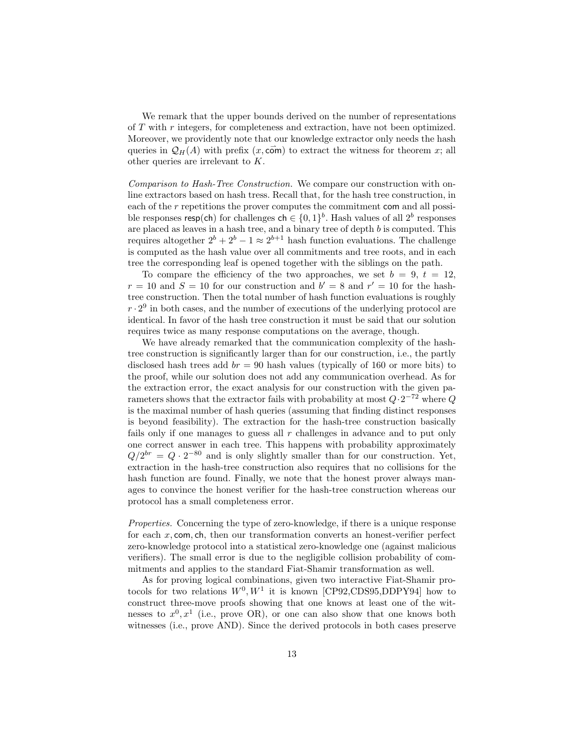We remark that the upper bounds derived on the number of representations of  $T$  with  $r$  integers, for completeness and extraction, have not been optimized. Moreover, we providently note that our knowledge extractor only needs the hash queries in  $\mathcal{Q}_H(A)$  with prefix  $(x, c\overrightarrow{\text{om}})$  to extract the witness for theorem x; all other queries are irrelevant to K.

Comparison to Hash-Tree Construction. We compare our construction with online extractors based on hash tress. Recall that, for the hash tree construction, in each of the r repetitions the prover computes the commitment com and all possible responses resp(ch) for challenges ch  $\in \{0,1\}^b$ . Hash values of all  $2^b$  responses are placed as leaves in a hash tree, and a binary tree of depth b is computed. This requires altogether  $2^b + 2^b - 1 \approx 2^{b+1}$  hash function evaluations. The challenge is computed as the hash value over all commitments and tree roots, and in each tree the corresponding leaf is opened together with the siblings on the path.

To compare the efficiency of the two approaches, we set  $b = 9, t = 12$ ,  $r = 10$  and  $S = 10$  for our construction and  $b' = 8$  and  $r' = 10$  for the hashtree construction. Then the total number of hash function evaluations is roughly  $r \cdot 2^9$  in both cases, and the number of executions of the underlying protocol are identical. In favor of the hash tree construction it must be said that our solution requires twice as many response computations on the average, though.

We have already remarked that the communication complexity of the hashtree construction is significantly larger than for our construction, i.e., the partly disclosed hash trees add  $br = 90$  hash values (typically of 160 or more bits) to the proof, while our solution does not add any communication overhead. As for the extraction error, the exact analysis for our construction with the given parameters shows that the extractor fails with probability at most  $Q \cdot 2^{-72}$  where  $Q$ is the maximal number of hash queries (assuming that finding distinct responses is beyond feasibility). The extraction for the hash-tree construction basically fails only if one manages to guess all  $r$  challenges in advance and to put only one correct answer in each tree. This happens with probability approximately  $Q/2^{br} = Q \cdot 2^{-80}$  and is only slightly smaller than for our construction. Yet, extraction in the hash-tree construction also requires that no collisions for the hash function are found. Finally, we note that the honest prover always manages to convince the honest verifier for the hash-tree construction whereas our protocol has a small completeness error.

Properties. Concerning the type of zero-knowledge, if there is a unique response for each x, com, ch, then our transformation converts an honest-verifier perfect zero-knowledge protocol into a statistical zero-knowledge one (against malicious verifiers). The small error is due to the negligible collision probability of commitments and applies to the standard Fiat-Shamir transformation as well.

As for proving logical combinations, given two interactive Fiat-Shamir protocols for two relations  $W^0, W^1$  it is known [CP92,CDS95,DDPY94] how to construct three-move proofs showing that one knows at least one of the witnesses to  $x^0, x^1$  (i.e., prove OR), or one can also show that one knows both witnesses (i.e., prove AND). Since the derived protocols in both cases preserve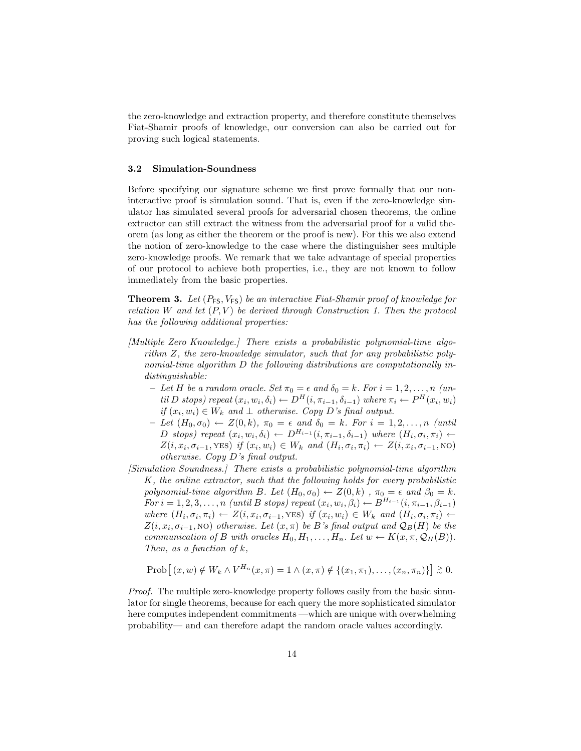the zero-knowledge and extraction property, and therefore constitute themselves Fiat-Shamir proofs of knowledge, our conversion can also be carried out for proving such logical statements.

#### 3.2 Simulation-Soundness

Before specifying our signature scheme we first prove formally that our noninteractive proof is simulation sound. That is, even if the zero-knowledge simulator has simulated several proofs for adversarial chosen theorems, the online extractor can still extract the witness from the adversarial proof for a valid theorem (as long as either the theorem or the proof is new). For this we also extend the notion of zero-knowledge to the case where the distinguisher sees multiple zero-knowledge proofs. We remark that we take advantage of special properties of our protocol to achieve both properties, i.e., they are not known to follow immediately from the basic properties.

**Theorem 3.** Let  $(P_{FS}, V_{FS})$  be an interactive Fiat-Shamir proof of knowledge for relation W and let  $(P, V)$  be derived through Construction 1. Then the protocol has the following additional properties:

- [Multiple Zero Knowledge.] There exists a probabilistic polynomial-time algorithm Z, the zero-knowledge simulator, such that for any probabilistic polynomial-time algorithm D the following distributions are computationally indistinguishable:
	- Let H be a random oracle. Set  $\pi_0 = \epsilon$  and  $\delta_0 = k$ . For  $i = 1, 2, ..., n$  (until D stops) repeat  $(x_i, w_i, \delta_i) \leftarrow D^H(i, \pi_{i-1}, \delta_{i-1})$  where  $\pi_i \leftarrow P^H(x_i, w_i)$ *if*  $(x_i, w_i)$  ∈  $W_k$  and  $⊥$  otherwise. Copy D's final output.
	- Let  $(H_0, \sigma_0) \leftarrow Z(0, k)$ ,  $\pi_0 = \epsilon$  and  $\delta_0 = k$ . For  $i = 1, 2, \ldots, n$  (until D stops) repeat  $(x_i, w_i, \delta_i) \leftarrow D^{H_{i-1}}(i, \pi_{i-1}, \delta_{i-1})$  where  $(H_i, \sigma_i, \pi_i) \leftarrow$  $Z(i, x_i, \sigma_{i-1}, \text{YES})$  if  $(x_i, w_i) \in W_k$  and  $(H_i, \sigma_i, \pi_i) \leftarrow Z(i, x_i, \sigma_{i-1}, \text{NO})$ otherwise. Copy D's final output.
- [Simulation Soundness.] There exists a probabilistic polynomial-time algorithm K, the online extractor, such that the following holds for every probabilistic polynomial-time algorithm B. Let  $(H_0, \sigma_0) \leftarrow Z(0, k)$ ,  $\pi_0 = \epsilon$  and  $\beta_0 = k$ . For  $i = 1, 2, 3, \ldots, n$  (until B stops) repeat  $(x_i, w_i, \beta_i) \leftarrow B^{H_{i-1}}(i, \pi_{i-1}, \beta_{i-1})$ where  $(H_i, \sigma_i, \pi_i) \leftarrow Z(i, x_i, \sigma_{i-1}, \text{YES})$  if  $(x_i, w_i) \in W_k$  and  $(H_i, \sigma_i, \pi_i) \leftarrow$  $Z(i, x_i, \sigma_{i-1}, \text{NO})$  otherwise. Let  $(x, \pi)$  be B's final output and  $\mathcal{Q}_B(H)$  be the communication of B with oracles  $H_0, H_1, \ldots, H_n$ . Let  $w \leftarrow K(x, \pi, \mathcal{Q}_H(B)).$ Then, as a function of  $k$ ,

$$
\text{Prob}\left[(x,w) \notin W_k \land V^{H_n}(x,\pi) = 1 \land (x,\pi) \notin \{(x_1,\pi_1),\ldots,(x_n,\pi_n)\}\right] \gtrsim 0.
$$

Proof. The multiple zero-knowledge property follows easily from the basic simulator for single theorems, because for each query the more sophisticated simulator here computes independent commitments —which are unique with overwhelming probability— and can therefore adapt the random oracle values accordingly.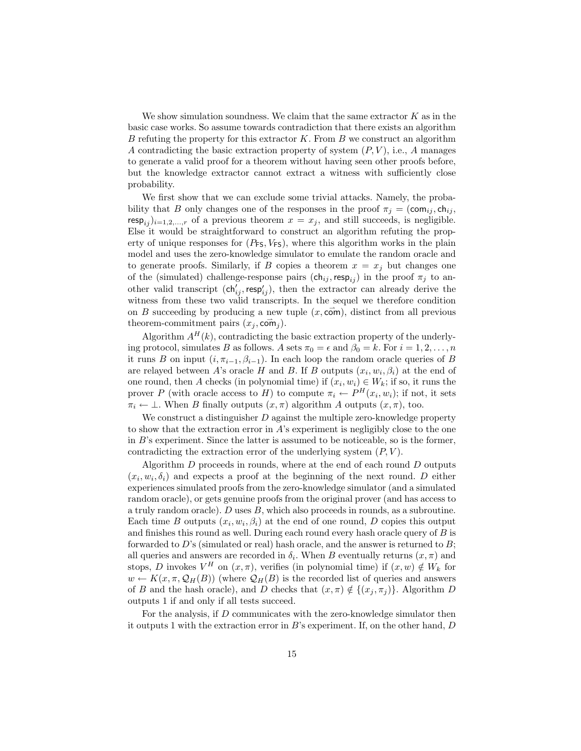We show simulation soundness. We claim that the same extractor  $K$  as in the basic case works. So assume towards contradiction that there exists an algorithm B refuting the property for this extractor  $K$ . From B we construct an algorithm A contradicting the basic extraction property of system  $(P, V)$ , i.e., A manages to generate a valid proof for a theorem without having seen other proofs before, but the knowledge extractor cannot extract a witness with sufficiently close probability.

We first show that we can exclude some trivial attacks. Namely, the probability that B only changes one of the responses in the proof  $\pi_i = (\text{com}_{ii}, \text{ch}_{ii},$ resp<sub>ij</sub>)<sub>i=1,2,...,r</sub> of a previous theorem  $x = x_j$ , and still succeeds, is negligible. Else it would be straightforward to construct an algorithm refuting the property of unique responses for  $(P_{FS}, V_{FS})$ , where this algorithm works in the plain model and uses the zero-knowledge simulator to emulate the random oracle and to generate proofs. Similarly, if B copies a theorem  $x = x_j$  but changes one of the (simulated) challenge-response pairs  $(\mathsf{ch}_{ij}, \mathsf{resp}_{ij})$  in the proof  $\pi_j$  to another valid transcript  $(\mathsf{ch}'_{ij},\mathsf{resp}'_{ij})$ , then the extractor can already derive the witness from these two valid transcripts. In the sequel we therefore condition on B succeeding by producing a new tuple  $(x, c<sub>om</sub>)$ , distinct from all previous theorem-commitment pairs  $(x_j, \tilde{\text{com}}_j)$ .

Algorithm  $A^H(k)$ , contradicting the basic extraction property of the underlying protocol, simulates B as follows. A sets  $\pi_0 = \epsilon$  and  $\beta_0 = k$ . For  $i = 1, 2, ..., n$ it runs B on input  $(i, \pi_{i-1}, \beta_{i-1})$ . In each loop the random oracle queries of B are relayed between A's oracle H and B. If B outputs  $(x_i, w_i, \beta_i)$  at the end of one round, then A checks (in polynomial time) if  $(x_i, w_i) \in W_k$ ; if so, it runs the prover P (with oracle access to H) to compute  $\pi_i \leftarrow P^H(x_i, w_i)$ ; if not, it sets  $\pi_i \leftarrow \perp$ . When B finally outputs  $(x, \pi)$  algorithm A outputs  $(x, \pi)$ , too.

We construct a distinguisher  $D$  against the multiple zero-knowledge property to show that the extraction error in  $A$ 's experiment is negligibly close to the one in  $B$ 's experiment. Since the latter is assumed to be noticeable, so is the former, contradicting the extraction error of the underlying system  $(P, V)$ .

Algorithm  $D$  proceeds in rounds, where at the end of each round  $D$  outputs  $(x_i, w_i, \delta_i)$  and expects a proof at the beginning of the next round. D either experiences simulated proofs from the zero-knowledge simulator (and a simulated random oracle), or gets genuine proofs from the original prover (and has access to a truly random oracle).  $D$  uses  $B$ , which also proceeds in rounds, as a subroutine. Each time B outputs  $(x_i, w_i, \beta_i)$  at the end of one round, D copies this output and finishes this round as well. During each round every hash oracle query of  $B$  is forwarded to  $D$ 's (simulated or real) hash oracle, and the answer is returned to  $B$ ; all queries and answers are recorded in  $\delta_i$ . When B eventually returns  $(x, \pi)$  and stops, D invokes  $V^H$  on  $(x, \pi)$ , verifies (in polynomial time) if  $(x, w) \notin W_k$  for  $w \leftarrow K(x, \pi, \mathcal{Q}_H(B))$  (where  $\mathcal{Q}_H(B)$  is the recorded list of queries and answers of B and the hash oracle), and D checks that  $(x, \pi) \notin \{(x_i, \pi_i)\}\)$ . Algorithm D outputs 1 if and only if all tests succeed.

For the analysis, if D communicates with the zero-knowledge simulator then it outputs 1 with the extraction error in  $B$ 's experiment. If, on the other hand,  $D$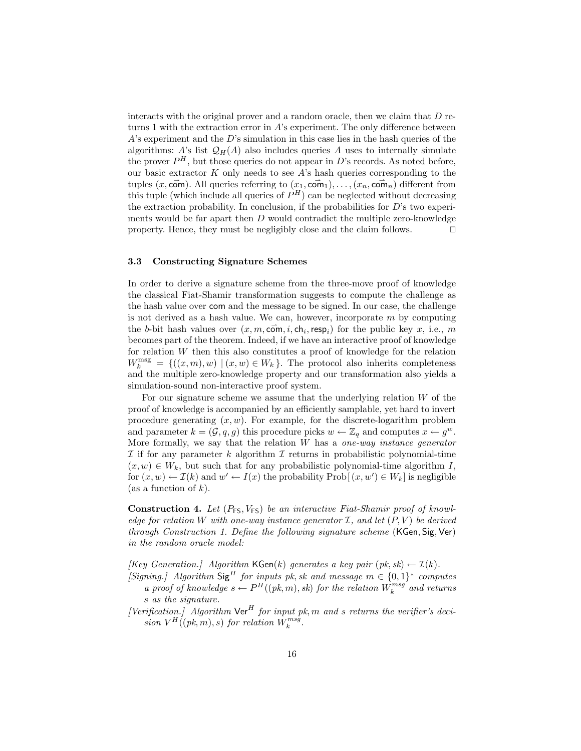interacts with the original prover and a random oracle, then we claim that  $D$  returns 1 with the extraction error in  $\vec{A}$ 's experiment. The only difference between  $A$ 's experiment and the  $D$ 's simulation in this case lies in the hash queries of the algorithms: A's list  $\mathcal{Q}_H(A)$  also includes queries A uses to internally simulate the prover  $P^H$ , but those queries do not appear in D's records. As noted before, our basic extractor  $K$  only needs to see  $A$ 's hash queries corresponding to the tuples  $(x, \text{còm})$ . All queries referring to  $(x_1, \text{còm}_1), \ldots, (x_n, \text{còm}_n)$  different from this tuple (which include all queries of  $P^H$ ) can be neglected without decreasing the extraction probability. In conclusion, if the probabilities for  $D$ 's two experiments would be far apart then  $D$  would contradict the multiple zero-knowledge property. Hence, they must be negligibly close and the claim follows.  $\Box$ 

## 3.3 Constructing Signature Schemes

In order to derive a signature scheme from the three-move proof of knowledge the classical Fiat-Shamir transformation suggests to compute the challenge as the hash value over com and the message to be signed. In our case, the challenge is not derived as a hash value. We can, however, incorporate  $m$  by computing the *b*-bit hash values over  $(x, m, c\overrightarrow{\text{om}}, i, \text{ch}_i, \text{resp}_i)$  for the public key x, i.e., m becomes part of the theorem. Indeed, if we have an interactive proof of knowledge for relation  $W$  then this also constitutes a proof of knowledge for the relation  $W_k^{\text{msg}} = \{((x,m), w) \mid (x, w) \in W_k\}.$  The protocol also inherits completeness and the multiple zero-knowledge property and our transformation also yields a simulation-sound non-interactive proof system.

For our signature scheme we assume that the underlying relation  $W$  of the proof of knowledge is accompanied by an efficiently samplable, yet hard to invert procedure generating  $(x, w)$ . For example, for the discrete-logarithm problem and parameter  $k = (\mathcal{G}, q, g)$  this procedure picks  $w \leftarrow \mathbb{Z}_q$  and computes  $x \leftarrow g^w$ . More formally, we say that the relation  $W$  has a *one-way instance generator*  $I$  if for any parameter k algorithm  $I$  returns in probabilistic polynomial-time  $(x, w) \in W_k$ , but such that for any probabilistic polynomial-time algorithm I, for  $(x, w) \leftarrow \mathcal{I}(k)$  and  $w' \leftarrow I(x)$  the probability  $\text{Prob}[(x, w') \in W_k]$  is negligible (as a function of  $k$ ).

**Construction 4.** Let  $(P_{FS}, V_{FS})$  be an interactive Fiat-Shamir proof of knowledge for relation W with one-way instance generator  $\mathcal I$ , and let  $(P, V)$  be derived through Construction 1. Define the following signature scheme (KGen, Sig, Ver) in the random oracle model:

[Key Generation.] Algorithm KGen(k) generates a key pair (pk, sk)  $\leftarrow \mathcal{I}(k)$ .

- [Signing.] Algorithm  $\textsf{Sig}^H$  for inputs pk, sk and message  $m \in \{0,1\}^*$  computes a proof of knowledge  $s \leftarrow P^H((pk, m), sk)$  for the relation  $W_k^{msg'}$  and returns s as the signature.
- [Verification.] Algorithm  $\mathsf{Ver}^H$  for input pk, m and s returns the verifier's decision  $V^H((pk, m), s)$  for relation  $\overline{W_k^{msg}}$ .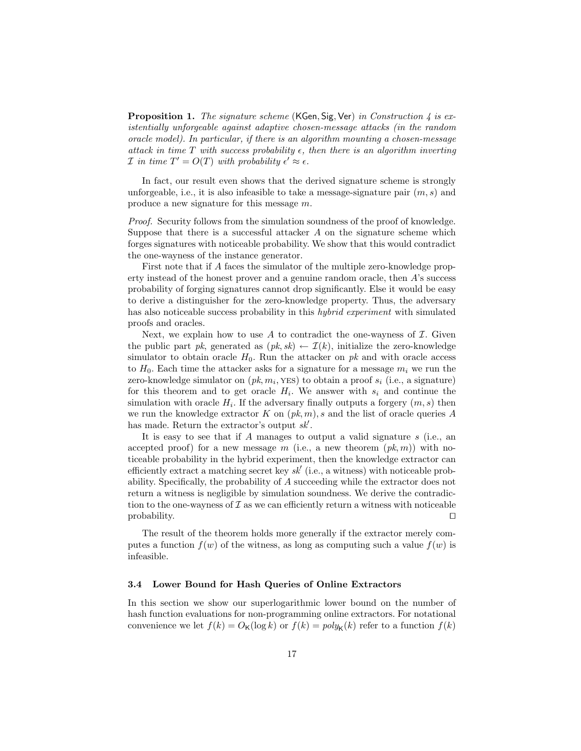**Proposition 1.** The signature scheme (KGen, Sig, Ver) in Construction 4 is existentially unforgeable against adaptive chosen-message attacks (in the random oracle model). In particular, if there is an algorithm mounting a chosen-message attack in time T with success probability  $\epsilon$ , then there is an algorithm inverting *I* in time  $T' = O(T)$  with probability  $\epsilon' \approx \epsilon$ .

In fact, our result even shows that the derived signature scheme is strongly unforgeable, i.e., it is also infeasible to take a message-signature pair  $(m, s)$  and produce a new signature for this message m.

Proof. Security follows from the simulation soundness of the proof of knowledge. Suppose that there is a successful attacker  $A$  on the signature scheme which forges signatures with noticeable probability. We show that this would contradict the one-wayness of the instance generator.

First note that if A faces the simulator of the multiple zero-knowledge property instead of the honest prover and a genuine random oracle, then A's success probability of forging signatures cannot drop significantly. Else it would be easy to derive a distinguisher for the zero-knowledge property. Thus, the adversary has also noticeable success probability in this hybrid experiment with simulated proofs and oracles.

Next, we explain how to use A to contradict the one-wayness of  $\mathcal I$ . Given the public part pk, generated as  $(pk, sk) \leftarrow \mathcal{I}(k)$ , initialize the zero-knowledge simulator to obtain oracle  $H_0$ . Run the attacker on pk and with oracle access to  $H_0$ . Each time the attacker asks for a signature for a message  $m_i$  we run the zero-knowledge simulator on  $(pk, m_i, \text{YES})$  to obtain a proof  $s_i$  (i.e., a signature) for this theorem and to get oracle  $H_i$ . We answer with  $s_i$  and continue the simulation with oracle  $H_i$ . If the adversary finally outputs a forgery  $(m, s)$  then we run the knowledge extractor K on  $(pk, m)$ , s and the list of oracle queries A has made. Return the extractor's output  $sk'$ .

It is easy to see that if  $A$  manages to output a valid signature  $s$  (i.e., an accepted proof) for a new message m (i.e., a new theorem  $(pk, m)$ ) with noticeable probability in the hybrid experiment, then the knowledge extractor can efficiently extract a matching secret key  $sk'$  (i.e., a witness) with noticeable probability. Specifically, the probability of A succeeding while the extractor does not return a witness is negligible by simulation soundness. We derive the contradiction to the one-wayness of  $\mathcal I$  as we can efficiently return a witness with noticeable probability.  $\Box$ 

The result of the theorem holds more generally if the extractor merely computes a function  $f(w)$  of the witness, as long as computing such a value  $f(w)$  is infeasible.

#### 3.4 Lower Bound for Hash Queries of Online Extractors

In this section we show our superlogarithmic lower bound on the number of hash function evaluations for non-programming online extractors. For notational convenience we let  $f(k) = O<sub>K</sub>(\log k)$  or  $f(k) = poly<sub>K</sub>(k)$  refer to a function  $f(k)$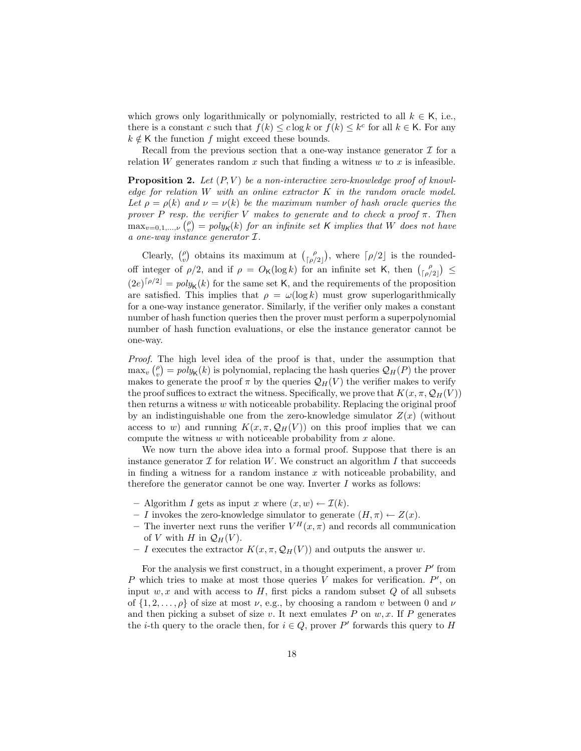which grows only logarithmically or polynomially, restricted to all  $k \in K$ , i.e., there is a constant c such that  $f(k) \leq c \log k$  or  $f(k) \leq k^c$  for all  $k \in \mathsf{K}$ . For any  $k \notin K$  the function f might exceed these bounds.

Recall from the previous section that a one-way instance generator  $\mathcal I$  for a relation W generates random x such that finding a witness  $w$  to x is infeasible.

**Proposition 2.** Let  $(P, V)$  be a non-interactive zero-knowledge proof of knowledge for relation W with an online extractor K in the random oracle model. Let  $\rho = \rho(k)$  and  $\nu = \nu(k)$  be the maximum number of hash oracle queries the prover P resp. the verifier V makes to generate and to check a proof  $\pi$ . Then  $\max_{v=0,1,...,\nu} {(\rho) \choose v} = poly_K(k)$  for an infinite set K implies that W does not have a one-way instance generator I.

Clearly,  $\binom{\rho}{v}$  obtains its maximum at  $\binom{\rho}{\lceil \rho/2 \rceil}$ , where  $\lceil \rho/2 \rceil$  is the roundedoff integer of  $\rho/2$ , and if  $\rho = O_K(\log k)$  for an infinite set K, then  $\binom{\rho}{\lceil \rho/2 \rceil} \leq$  $(2e)^{\lceil \rho/2 \rceil} = \text{poly}_K(k)$  for the same set K, and the requirements of the proposition are satisfied. This implies that  $\rho = \omega(\log k)$  must grow superlogarithmically for a one-way instance generator. Similarly, if the verifier only makes a constant number of hash function queries then the prover must perform a superpolynomial number of hash function evaluations, or else the instance generator cannot be one-way.

Proof. The high level idea of the proof is that, under the assumption that  $\max_v \binom{\rho}{v} = poly_K(k)$  is polynomial, replacing the hash queries  $\mathcal{Q}_H(P)$  the prover makes to generate the proof  $\pi$  by the queries  $\mathcal{Q}_H(V)$  the verifier makes to verify the proof suffices to extract the witness. Specifically, we prove that  $K(x, \pi, \mathcal{Q}_H(V))$ then returns a witness w with noticeable probability. Replacing the original proof by an indistinguishable one from the zero-knowledge simulator  $Z(x)$  (without access to w) and running  $K(x, \pi, \mathcal{Q}_H(V))$  on this proof implies that we can compute the witness  $w$  with noticeable probability from  $x$  alone.

We now turn the above idea into a formal proof. Suppose that there is an instance generator  $\mathcal I$  for relation  $W$ . We construct an algorithm  $I$  that succeeds in finding a witness for a random instance  $x$  with noticeable probability, and therefore the generator cannot be one way. Inverter  $I$  works as follows:

- Algorithm I gets as input x where  $(x, w) \leftarrow \mathcal{I}(k)$ .
- I invokes the zero-knowledge simulator to generate  $(H, \pi) \leftarrow Z(x)$ .
- The inverter next runs the verifier  $V^H(x, \pi)$  and records all communication of V with H in  $\mathcal{Q}_H(V)$ .
- I executes the extractor  $K(x, \pi, \mathcal{Q}_H(V))$  and outputs the answer w.

For the analysis we first construct, in a thought experiment, a prover  $P'$  from  $P$  which tries to make at most those queries  $V$  makes for verification.  $P'$ , on input  $w, x$  and with access to  $H$ , first picks a random subset  $Q$  of all subsets of  $\{1, 2, \ldots, \rho\}$  of size at most  $\nu$ , e.g., by choosing a random v between 0 and  $\nu$ and then picking a subset of size v. It next emulates  $P$  on  $w, x$ . If  $P$  generates the *i*-th query to the oracle then, for  $i \in Q$ , prover P' forwards this query to H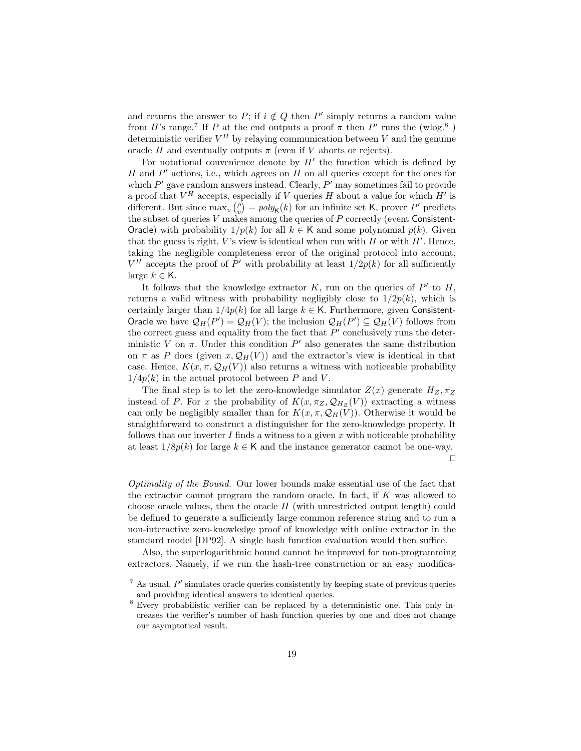and returns the answer to P; if  $i \notin Q$  then P' simply returns a random value from H's range.<sup>7</sup> If P at the end outputs a proof  $\pi$  then P' runs the (wlog.<sup>8</sup>) deterministic verifier  $V^H$  by relaying communication between V and the genuine oracle H and eventually outputs  $\pi$  (even if V aborts or rejects).

For notational convenience denote by  $H'$  the function which is defined by H and  $P'$  actions, i.e., which agrees on H on all queries except for the ones for which  $P'$  gave random answers instead. Clearly,  $P'$  may sometimes fail to provide a proof that  $V^H$  accepts, especially if V queries H about a value for which H' is different. But since  $\max_v {(\rho) \choose v} = poly_K(k)$  for an infinite set K, prover P' predicts the subset of queries  $V$  makes among the queries of  $P$  correctly (event Consistent-Oracle) with probability  $1/p(k)$  for all  $k \in K$  and some polynomial  $p(k)$ . Given that the guess is right,  $V$ 's view is identical when run with  $H$  or with  $H'$ . Hence, taking the negligible completeness error of the original protocol into account,  $V^H$  accepts the proof of P' with probability at least  $1/2p(k)$  for all sufficiently large  $k \in \mathsf{K}$ .

It follows that the knowledge extractor  $K$ , run on the queries of  $P'$  to  $H$ , returns a valid witness with probability negligibly close to  $1/2p(k)$ , which is certainly larger than  $1/4p(k)$  for all large  $k \in K$ . Furthermore, given Consistent-Oracle we have  $\mathcal{Q}_H(P') = \mathcal{Q}_H(V)$ ; the inclusion  $\mathcal{Q}_H(P') \subseteq \mathcal{Q}_H(V)$  follows from the correct guess and equality from the fact that  $P'$  conclusively runs the deterministic V on  $\pi$ . Under this condition  $P'$  also generates the same distribution on  $\pi$  as P does (given x,  $\mathcal{Q}_H(V)$ ) and the extractor's view is identical in that case. Hence,  $K(x, \pi, \mathcal{Q}_H(V))$  also returns a witness with noticeable probability  $1/4p(k)$  in the actual protocol between P and V.

The final step is to let the zero-knowledge simulator  $Z(x)$  generate  $H_Z, \pi_Z$ instead of P. For x the probability of  $K(x, \pi_Z, \mathcal{Q}_{H_Z}(V))$  extracting a witness can only be negligibly smaller than for  $K(x, \pi, \mathcal{Q}_H(V))$ . Otherwise it would be straightforward to construct a distinguisher for the zero-knowledge property. It follows that our inverter I finds a witness to a given x with noticeable probability at least  $1/8p(k)$  for large  $k \in K$  and the instance generator cannot be one-way.

 $\Box$ 

Optimality of the Bound. Our lower bounds make essential use of the fact that the extractor cannot program the random oracle. In fact, if K was allowed to choose oracle values, then the oracle  $H$  (with unrestricted output length) could be defined to generate a sufficiently large common reference string and to run a non-interactive zero-knowledge proof of knowledge with online extractor in the standard model [DP92]. A single hash function evaluation would then suffice.

Also, the superlogarithmic bound cannot be improved for non-programming extractors. Namely, if we run the hash-tree construction or an easy modifica-

 $^7$  As usual,  $P'$  simulates oracle queries consistently by keeping state of previous queries and providing identical answers to identical queries.

<sup>8</sup> Every probabilistic verifier can be replaced by a deterministic one. This only increases the verifier's number of hash function queries by one and does not change our asymptotical result.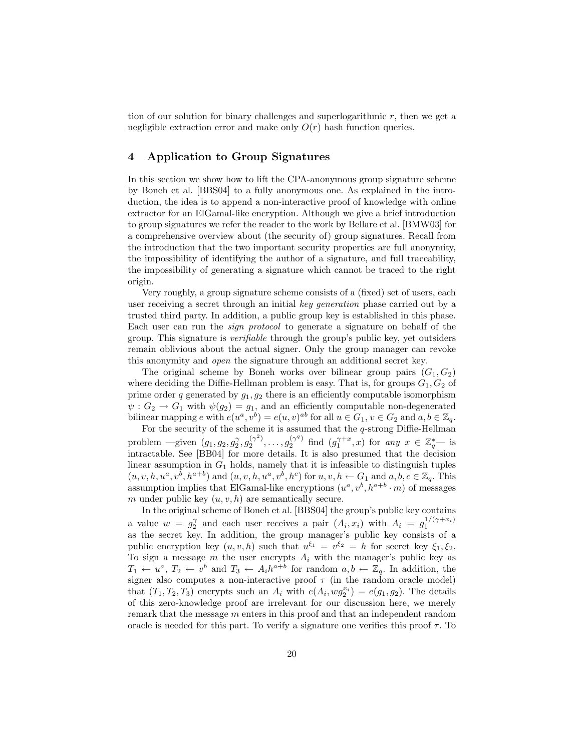tion of our solution for binary challenges and superlogarithmic  $r$ , then we get a negligible extraction error and make only  $O(r)$  hash function queries.

# 4 Application to Group Signatures

In this section we show how to lift the CPA-anonymous group signature scheme by Boneh et al. [BBS04] to a fully anonymous one. As explained in the introduction, the idea is to append a non-interactive proof of knowledge with online extractor for an ElGamal-like encryption. Although we give a brief introduction to group signatures we refer the reader to the work by Bellare et al. [BMW03] for a comprehensive overview about (the security of) group signatures. Recall from the introduction that the two important security properties are full anonymity, the impossibility of identifying the author of a signature, and full traceability, the impossibility of generating a signature which cannot be traced to the right origin.

Very roughly, a group signature scheme consists of a (fixed) set of users, each user receiving a secret through an initial key generation phase carried out by a trusted third party. In addition, a public group key is established in this phase. Each user can run the sign protocol to generate a signature on behalf of the group. This signature is verifiable through the group's public key, yet outsiders remain oblivious about the actual signer. Only the group manager can revoke this anonymity and open the signature through an additional secret key.

The original scheme by Boneh works over bilinear group pairs  $(G_1, G_2)$ where deciding the Diffie-Hellman problem is easy. That is, for groups  $G_1, G_2$  of prime order q generated by  $g_1, g_2$  there is an efficiently computable isomorphism  $\psi: G_2 \to G_1$  with  $\psi(g_2) = g_1$ , and an efficiently computable non-degenerated bilinear mapping  $e$  with  $e(u^a, v^b) = e(u, v)^{ab}$  for all  $u \in G_1$ ,  $v \in G_2$  and  $a, b \in \mathbb{Z}_q$ .

For the security of the scheme it is assumed that the  $q\text{-strong Diffie-Hellman}$ problem —given  $(g_1, g_2, g_2^{\gamma}, g_2^{(\gamma^2)}, \dots, g_2^{(\gamma^q)}$  find  $(g_1^{\gamma+x}, x)$  for any  $x \in \mathbb{Z}_q^*$  is intractable. See [BB04] for more details. It is also presumed that the decision linear assumption in  $G_1$  holds, namely that it is infeasible to distinguish tuples  $(u, v, h, u^a, v^{\overline{b}}, h^{a+b})$  and  $(u, v, h, u^a, v^{\overline{b}}, h^c)$  for  $u, v, h \leftarrow G_1$  and  $a, b, c \in \mathbb{Z}_q$ . This assumption implies that ElGamal-like encryptions  $(u^a, v^b, h^{a+b} \cdot m)$  of messages m under public key  $(u, v, h)$  are semantically secure.

In the original scheme of Boneh et al. [BBS04] the group's public key contains a value  $w = g_2^{\gamma}$  and each user receives a pair  $(A_i, x_i)$  with  $A_i = g_1^{1/(\gamma + x_i)}$  as the secret key. In addition, the group manager's public key consists of a public encryption key  $(u, v, h)$  such that  $u^{\xi_1} = v^{\xi_2} = h$  for secret key  $\xi_1, \xi_2$ . To sign a message  $m$  the user encrypts  $A_i$  with the manager's public key as  $T_1 \leftarrow u^a, T_2 \leftarrow v^b$  and  $T_3 \leftarrow A_i h^{a+b}$  for random  $a, b \leftarrow \mathbb{Z}_q$ . In addition, the signer also computes a non-interactive proof  $\tau$  (in the random oracle model) that  $(T_1, T_2, T_3)$  encrypts such an  $A_i$  with  $e(A_i, w g_2^{x_i}) = e(g_1, g_2)$ . The details of this zero-knowledge proof are irrelevant for our discussion here, we merely remark that the message m enters in this proof and that an independent random oracle is needed for this part. To verify a signature one verifies this proof  $\tau$ . To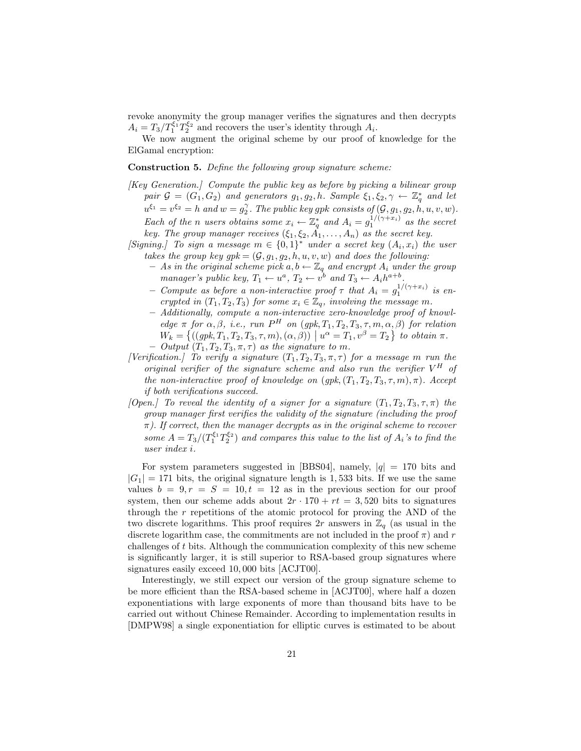revoke anonymity the group manager verifies the signatures and then decrypts  $A_i = T_3/T_1^{\xi_1}T_2^{\xi_2}$  and recovers the user's identity through  $A_i$ .

We now augment the original scheme by our proof of knowledge for the ElGamal encryption:

Construction 5. Define the following group signature scheme:

- [Key Generation.] Compute the public key as before by picking a bilinear group pair  $G = (G_1, G_2)$  and generators  $g_1, g_2, h$ . Sample  $\xi_1, \xi_2, \gamma \leftarrow \mathbb{Z}_q^*$  and let  $u^{\xi_1}=v^{\xi_2}=h$  and  $w=g_2^{\gamma}$ . The public key gpk consists of  $(\mathcal{G}, g_1, g_2, h, u, v, w)$ . Each of the n users obtains some  $x_i \leftarrow \mathbb{Z}_q^*$  and  $A_i = g_1^{1/(\gamma + x_i)}$  as the secret key. The group manager receives  $(\xi_1, \xi_2, A_1, \ldots, A_n)$  as the secret key.
- [Signing.] To sign a message  $m \in \{0,1\}^*$  under a secret key  $(A_i, x_i)$  the user takes the group key  $gpk = (\mathcal{G}, g_1, g_2, h, u, v, w)$  and does the following:
	- $-$  As in the original scheme pick  $a, b \leftarrow \mathbb{Z}_q$  and encrypt  $A_i$  under the group manager's public key,  $T_1 \leftarrow u^a$ ,  $T_2 \leftarrow v^b$  and  $T_3 \leftarrow A_i h^{a+b}$ .
	- Compute as before a non-interactive proof  $\tau$  that  $A_i = g_1^{1/(\gamma + x_i)}$  is encrypted in  $(T_1, T_2, T_3)$  for some  $x_i \in \mathbb{Z}_q$ , involving the message m.
	- Additionally, compute a non-interactive zero-knowledge proof of knowledge  $\pi$  for  $\alpha, \beta$ , i.e., run  $P^H$  on  $(gpk, T_1, T_2, T_3, \tau, m, \alpha, \beta)$  for relation  $W_k = \left\{ \left( (gpk, T_1, T_2, T_3, \tau, m), (\alpha, \beta) \right) \mid u^{\alpha} = T_1, v^{\beta} = T_2 \right\}$  to obtain  $\pi$ .
	- Output  $(T_1, T_2, T_3, \pi, \tau)$  as the signature to m.
- [Verification.] To verify a signature  $(T_1, T_2, T_3, \pi, \tau)$  for a message m run the original verifier of the signature scheme and also run the verifier  $V^H$  of the non-interactive proof of knowledge on  $(gpk, (T_1, T_2, T_3, \tau, m), \pi)$ . Accept if both verifications succeed.
- [Open.] To reveal the identity of a signer for a signature  $(T_1, T_2, T_3, \tau, \pi)$  the group manager first verifies the validity of the signature (including the proof  $\pi$ ). If correct, then the manager decrypts as in the original scheme to recover some  $A = T_3/(T_1^{\xi_1}T_2^{\xi_2})$  and compares this value to the list of  $A_i$ 's to find the user index i.

For system parameters suggested in [BBS04], namely,  $|q| = 170$  bits and  $|G_1| = 171$  bits, the original signature length is 1,533 bits. If we use the same values  $b = 9, r = S = 10, t = 12$  as in the previous section for our proof system, then our scheme adds about  $2r \cdot 170 + rt = 3,520$  bits to signatures through the r repetitions of the atomic protocol for proving the AND of the two discrete logarithms. This proof requires 2r answers in  $\mathbb{Z}_q$  (as usual in the discrete logarithm case, the commitments are not included in the proof  $\pi$ ) and r challenges of t bits. Although the communication complexity of this new scheme is significantly larger, it is still superior to RSA-based group signatures where signatures easily exceed 10, 000 bits [ACJT00].

Interestingly, we still expect our version of the group signature scheme to be more efficient than the RSA-based scheme in [ACJT00], where half a dozen exponentiations with large exponents of more than thousand bits have to be carried out without Chinese Remainder. According to implementation results in [DMPW98] a single exponentiation for elliptic curves is estimated to be about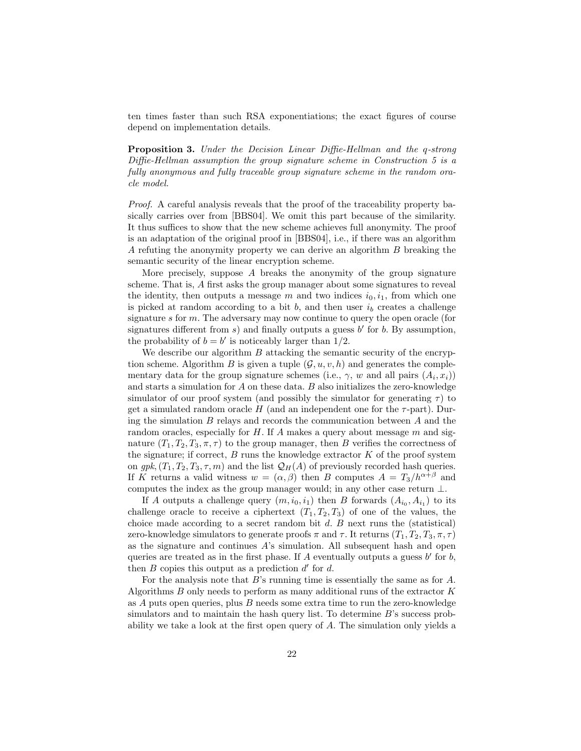ten times faster than such RSA exponentiations; the exact figures of course depend on implementation details.

Proposition 3. Under the Decision Linear Diffie-Hellman and the q-strong Diffie-Hellman assumption the group signature scheme in Construction 5 is a fully anonymous and fully traceable group signature scheme in the random oracle model.

Proof. A careful analysis reveals that the proof of the traceability property basically carries over from [BBS04]. We omit this part because of the similarity. It thus suffices to show that the new scheme achieves full anonymity. The proof is an adaptation of the original proof in [BBS04], i.e., if there was an algorithm A refuting the anonymity property we can derive an algorithm B breaking the semantic security of the linear encryption scheme.

More precisely, suppose A breaks the anonymity of the group signature scheme. That is, A first asks the group manager about some signatures to reveal the identity, then outputs a message m and two indices  $i_0, i_1$ , from which one is picked at random according to a bit b, and then user  $i<sub>b</sub>$  creates a challenge signature s for m. The adversary may now continue to query the open oracle (for signatures different from  $s$ ) and finally outputs a guess  $b'$  for  $b$ . By assumption, the probability of  $b = b'$  is noticeably larger than  $1/2$ .

We describe our algorithm  $B$  attacking the semantic security of the encryption scheme. Algorithm B is given a tuple  $(\mathcal{G}, u, v, h)$  and generates the complementary data for the group signature schemes (i.e.,  $\gamma$ , w and all pairs  $(A_i, x_i)$ ) and starts a simulation for  $A$  on these data.  $B$  also initializes the zero-knowledge simulator of our proof system (and possibly the simulator for generating  $\tau$ ) to get a simulated random oracle H (and an independent one for the  $\tau$ -part). During the simulation  $B$  relays and records the communication between  $A$  and the random oracles, especially for  $H$ . If  $A$  makes a query about message  $m$  and signature  $(T_1, T_2, T_3, \pi, \tau)$  to the group manager, then B verifies the correctness of the signature; if correct,  $B$  runs the knowledge extractor  $K$  of the proof system on  $gpk, (T_1, T_2, T_3, \tau, m)$  and the list  $\mathcal{Q}_H(A)$  of previously recorded hash queries. If K returns a valid witness  $w = (\alpha, \beta)$  then B computes  $A = T_3/h^{\alpha+\beta}$  and computes the index as the group manager would; in any other case return  $\bot$ .

If A outputs a challenge query  $(m, i_0, i_1)$  then B forwards  $(A_{i_0}, A_{i_1})$  to its challenge oracle to receive a ciphertext  $(T_1, T_2, T_3)$  of one of the values, the choice made according to a secret random bit  $d$ .  $B$  next runs the (statistical) zero-knowledge simulators to generate proofs  $\pi$  and  $\tau$ . It returns  $(T_1, T_2, T_3, \pi, \tau)$ as the signature and continues A's simulation. All subsequent hash and open queries are treated as in the first phase. If  $A$  eventually outputs a guess  $b'$  for  $b$ , then  $B$  copies this output as a prediction  $d'$  for  $d$ .

For the analysis note that  $B$ 's running time is essentially the same as for  $A$ . Algorithms  $B$  only needs to perform as many additional runs of the extractor  $K$ as A puts open queries, plus B needs some extra time to run the zero-knowledge simulators and to maintain the hash query list. To determine  $B$ 's success probability we take a look at the first open query of A. The simulation only yields a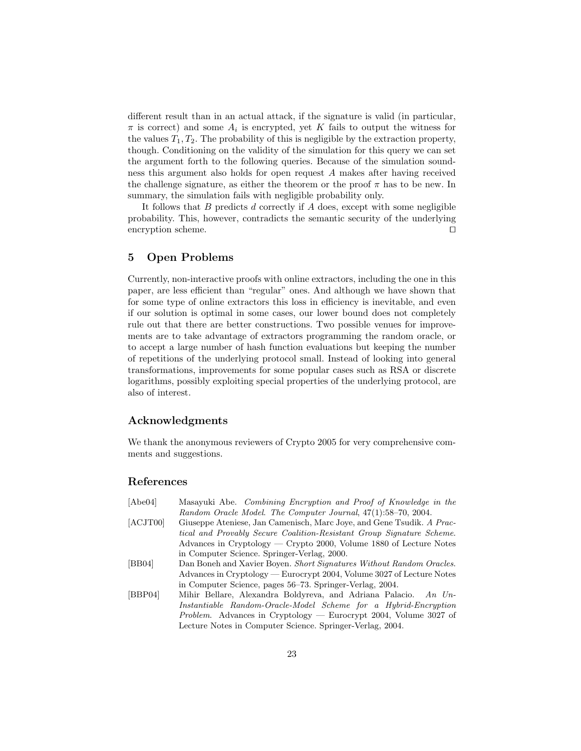different result than in an actual attack, if the signature is valid (in particular,  $\pi$  is correct) and some  $A_i$  is encrypted, yet K fails to output the witness for the values  $T_1, T_2$ . The probability of this is negligible by the extraction property, though. Conditioning on the validity of the simulation for this query we can set the argument forth to the following queries. Because of the simulation soundness this argument also holds for open request A makes after having received the challenge signature, as either the theorem or the proof  $\pi$  has to be new. In summary, the simulation fails with negligible probability only.

It follows that  $B$  predicts  $d$  correctly if  $A$  does, except with some negligible probability. This, however, contradicts the semantic security of the underlying encryption scheme.  $\Box$ 

## 5 Open Problems

Currently, non-interactive proofs with online extractors, including the one in this paper, are less efficient than "regular" ones. And although we have shown that for some type of online extractors this loss in efficiency is inevitable, and even if our solution is optimal in some cases, our lower bound does not completely rule out that there are better constructions. Two possible venues for improvements are to take advantage of extractors programming the random oracle, or to accept a large number of hash function evaluations but keeping the number of repetitions of the underlying protocol small. Instead of looking into general transformations, improvements for some popular cases such as RSA or discrete logarithms, possibly exploiting special properties of the underlying protocol, are also of interest.

## Acknowledgments

We thank the anonymous reviewers of Crypto 2005 for very comprehensive comments and suggestions.

# References

| Masayuki Abe. Combining Encryption and Proof of Knowledge in the        |
|-------------------------------------------------------------------------|
| Random Oracle Model. The Computer Journal, 47(1):58–70, 2004.           |
| Giuseppe Ateniese, Jan Camenisch, Marc Joye, and Gene Tsudik. A Prac-   |
| tical and Provably Secure Coalition-Resistant Group Signature Scheme.   |
| Advances in Cryptology — Crypto $2000$ , Volume 1880 of Lecture Notes   |
| in Computer Science. Springer-Verlag, 2000.                             |
| Dan Boneh and Xavier Boyen. Short Signatures Without Random Oracles.    |
| Advances in Cryptology — Eurocrypt 2004, Volume 3027 of Lecture Notes   |
| in Computer Science, pages 56–73. Springer-Verlag, 2004.                |
| Mihir Bellare, Alexandra Boldyreva, and Adriana Palacio. An Un-         |
| Instantiable Random-Oracle-Model Scheme for a Hybrid-Encryption         |
| <i>Problem.</i> Advances in Cryptology — Eurocrypt 2004, Volume 3027 of |
| Lecture Notes in Computer Science. Springer-Verlag, 2004.               |
|                                                                         |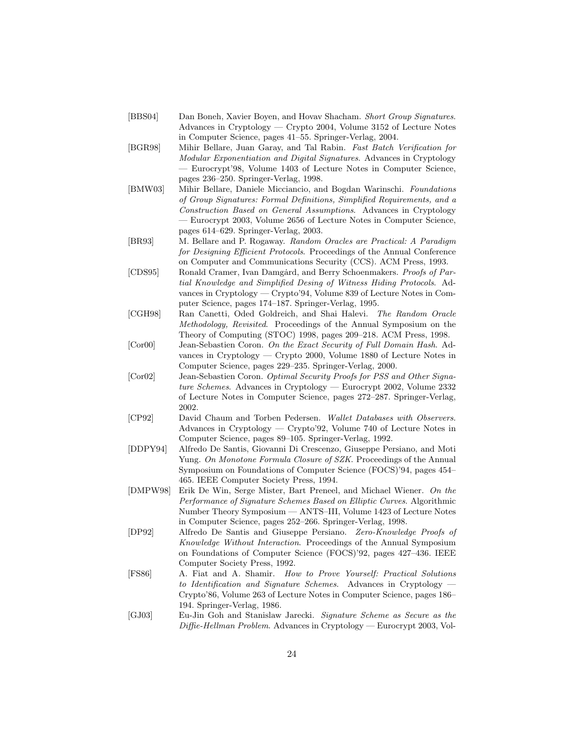- [BBS04] Dan Boneh, Xavier Boyen, and Hovav Shacham. Short Group Signatures. Advances in Cryptology — Crypto 2004, Volume 3152 of Lecture Notes in Computer Science, pages 41–55. Springer-Verlag, 2004.
- [BGR98] Mihir Bellare, Juan Garay, and Tal Rabin. Fast Batch Verification for Modular Exponentiation and Digital Signatures. Advances in Cryptology — Eurocrypt'98, Volume 1403 of Lecture Notes in Computer Science, pages 236–250. Springer-Verlag, 1998.
- [BMW03] Mihir Bellare, Daniele Micciancio, and Bogdan Warinschi. Foundations of Group Signatures: Formal Definitions, Simplified Requirements, and a Construction Based on General Assumptions. Advances in Cryptology — Eurocrypt 2003, Volume 2656 of Lecture Notes in Computer Science, pages 614–629. Springer-Verlag, 2003.
- [BR93] M. Bellare and P. Rogaway. Random Oracles are Practical: A Paradigm for Designing Efficient Protocols. Proceedings of the Annual Conference on Computer and Communications Security (CCS). ACM Press, 1993.
- [CDS95] Ronald Cramer, Ivan Damgård, and Berry Schoenmakers. Proofs of Partial Knowledge and Simplified Desing of Witness Hiding Protocols. Advances in Cryptology — Crypto'94, Volume 839 of Lecture Notes in Computer Science, pages 174–187. Springer-Verlag, 1995.
- [CGH98] Ran Canetti, Oded Goldreich, and Shai Halevi. The Random Oracle Methodology, Revisited. Proceedings of the Annual Symposium on the Theory of Computing (STOC) 1998, pages 209–218. ACM Press, 1998.
- [Cor00] Jean-Sebastien Coron. On the Exact Security of Full Domain Hash. Advances in Cryptology — Crypto 2000, Volume 1880 of Lecture Notes in Computer Science, pages 229–235. Springer-Verlag, 2000.
- [Cor02] Jean-Sebastien Coron. Optimal Security Proofs for PSS and Other Signature Schemes. Advances in Cryptology — Eurocrypt 2002, Volume 2332 of Lecture Notes in Computer Science, pages 272–287. Springer-Verlag, 2002.
- [CP92] David Chaum and Torben Pedersen. Wallet Databases with Observers. Advances in Cryptology — Crypto'92, Volume 740 of Lecture Notes in Computer Science, pages 89–105. Springer-Verlag, 1992.
- [DDPY94] Alfredo De Santis, Giovanni Di Crescenzo, Giuseppe Persiano, and Moti Yung. On Monotone Formula Closure of SZK. Proceedings of the Annual Symposium on Foundations of Computer Science (FOCS)'94, pages 454– 465. IEEE Computer Society Press, 1994.
- [DMPW98] Erik De Win, Serge Mister, Bart Preneel, and Michael Wiener. On the Performance of Signature Schemes Based on Elliptic Curves. Algorithmic Number Theory Symposium — ANTS–III, Volume 1423 of Lecture Notes in Computer Science, pages 252–266. Springer-Verlag, 1998.
- [DP92] Alfredo De Santis and Giuseppe Persiano. Zero-Knowledge Proofs of Knowledge Without Interaction. Proceedings of the Annual Symposium on Foundations of Computer Science (FOCS)'92, pages 427–436. IEEE Computer Society Press, 1992.
- [FS86] A. Fiat and A. Shamir. How to Prove Yourself: Practical Solutions to Identification and Signature Schemes. Advances in Cryptology — Crypto'86, Volume 263 of Lecture Notes in Computer Science, pages 186– 194. Springer-Verlag, 1986.
- [GJ03] Eu-Jin Goh and Stanislaw Jarecki. Signature Scheme as Secure as the Diffie-Hellman Problem. Advances in Cryptology — Eurocrypt 2003, Vol-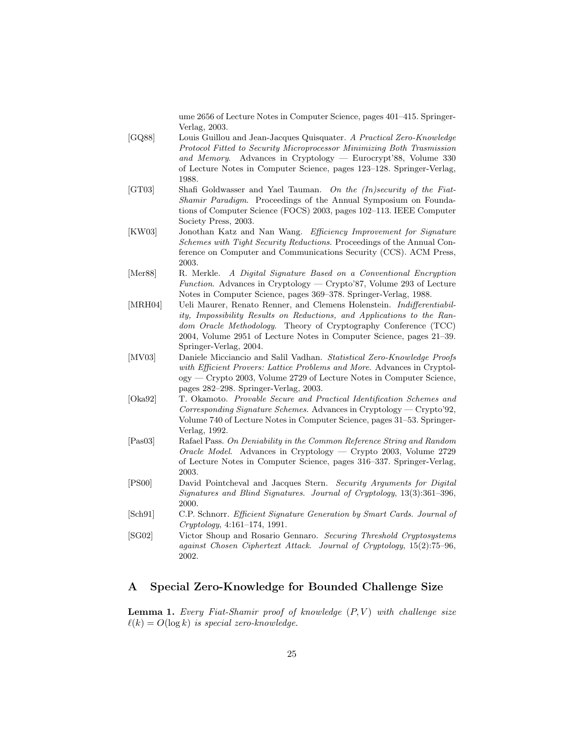ume 2656 of Lecture Notes in Computer Science, pages 401–415. Springer-Verlag, 2003.

- [GQ88] Louis Guillou and Jean-Jacques Quisquater. A Practical Zero-Knowledge Protocol Fitted to Security Microprocessor Minimizing Both Trasmission and Memory. Advances in Cryptology — Eurocrypt'88, Volume 330 of Lecture Notes in Computer Science, pages 123–128. Springer-Verlag, 1988.
- [GT03] Shafi Goldwasser and Yael Tauman. On the (In)security of the Fiat-Shamir Paradigm. Proceedings of the Annual Symposium on Foundations of Computer Science (FOCS) 2003, pages 102–113. IEEE Computer Society Press, 2003.
- [KW03] Jonothan Katz and Nan Wang. Efficiency Improvement for Signature Schemes with Tight Security Reductions. Proceedings of the Annual Conference on Computer and Communications Security (CCS). ACM Press, 2003.
- [Mer88] R. Merkle. A Digital Signature Based on a Conventional Encryption Function. Advances in Cryptology — Crypto'87, Volume 293 of Lecture Notes in Computer Science, pages 369–378. Springer-Verlag, 1988.
- [MRH04] Ueli Maurer, Renato Renner, and Clemens Holenstein. Indifferentiability, Impossibility Results on Reductions, and Applications to the Random Oracle Methodology. Theory of Cryptography Conference (TCC) 2004, Volume 2951 of Lecture Notes in Computer Science, pages 21–39. Springer-Verlag, 2004.
- [MV03] Daniele Micciancio and Salil Vadhan. Statistical Zero-Knowledge Proofs with Efficient Provers: Lattice Problems and More. Advances in Cryptology — Crypto 2003, Volume 2729 of Lecture Notes in Computer Science, pages 282–298. Springer-Verlag, 2003.
- [Oka92] T. Okamoto. Provable Secure and Practical Identification Schemes and Corresponding Signature Schemes. Advances in Cryptology — Crypto'92, Volume 740 of Lecture Notes in Computer Science, pages 31–53. Springer-Verlag, 1992.
- [Pas03] Rafael Pass. On Deniability in the Common Reference String and Random Oracle Model. Advances in Cryptology — Crypto 2003, Volume 2729 of Lecture Notes in Computer Science, pages 316–337. Springer-Verlag, 2003.
- [PS00] David Pointcheval and Jacques Stern. Security Arguments for Digital Signatures and Blind Signatures. Journal of Cryptology, 13(3):361–396, 2000.
- [Sch91] C.P. Schnorr. Efficient Signature Generation by Smart Cards. Journal of Cryptology, 4:161–174, 1991.
- [SG02] Victor Shoup and Rosario Gennaro. Securing Threshold Cryptosystems against Chosen Ciphertext Attack. Journal of Cryptology, 15(2):75–96, 2002.

# A Special Zero-Knowledge for Bounded Challenge Size

**Lemma 1.** Every Fiat-Shamir proof of knowledge  $(P, V)$  with challenge size  $\ell(k) = O(\log k)$  is special zero-knowledge.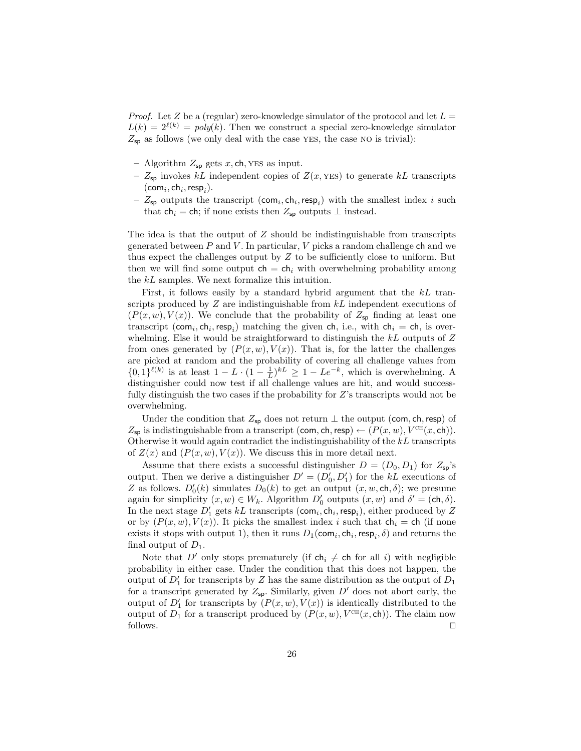*Proof.* Let Z be a (regular) zero-knowledge simulator of the protocol and let  $L =$  $L(k) = 2^{\ell(k)} = poly(k)$ . Then we construct a special zero-knowledge simulator  $Z_{sp}$  as follows (we only deal with the case YES, the case NO is trivial):

- Algorithm  $Z_{\text{sp}}$  gets x, ch, YES as input.
- $Z_{\text{sp}}$  invokes kL independent copies of  $Z(x, \text{YES})$  to generate kL transcripts  $(\mathsf{com}_i, \mathsf{ch}_i, \mathsf{resp}_i).$
- $Z_{\text{sp}}$  outputs the transcript  $(\text{com}_i, \text{ch}_i, \text{resp}_i)$  with the smallest index i such that  $ch_i = ch$ ; if none exists then  $Z_{sp}$  outputs  $\perp$  instead.

The idea is that the output of Z should be indistinguishable from transcripts generated between  $P$  and  $V$ . In particular,  $V$  picks a random challenge ch and we thus expect the challenges output by  $Z$  to be sufficiently close to uniform. But then we will find some output  $ch = ch_i$  with overwhelming probability among the kL samples. We next formalize this intuition.

First, it follows easily by a standard hybrid argument that the kL transcripts produced by  $Z$  are indistinguishable from  $kL$  independent executions of  $(P(x, w), V(x))$ . We conclude that the probability of  $Z_{\text{sp}}$  finding at least one transcript  $(\text{com}_i, \text{ch}_i, \text{resp}_i)$  matching the given ch, i.e., with  $\text{ch}_i = \text{ch}$ , is overwhelming. Else it would be straightforward to distinguish the  $kL$  outputs of  $Z$ from ones generated by  $(P(x, w), V(x))$ . That is, for the latter the challenges are picked at random and the probability of covering all challenge values from  $\{0,1\}^{\ell(k)}$  is at least  $1 - L \cdot (1 - \frac{1}{L})^{kL} \ge 1 - Le^{-k}$ , which is overwhelming. A distinguisher could now test if all challenge values are hit, and would successfully distinguish the two cases if the probability for  $Z$ 's transcripts would not be overwhelming.

Under the condition that  $Z_{sp}$  does not return  $\perp$  the output (com, ch, resp) of  $Z_{\text{sp}}$  is indistinguishable from a transcript (com, ch, resp)  $\leftarrow (P(x, w), V^{\text{CH}}(x, ch))$ . Otherwise it would again contradict the indistinguishability of the  $kL$  transcripts of  $Z(x)$  and  $(P(x, w), V(x))$ . We discuss this in more detail next.

Assume that there exists a successful distinguisher  $D = (D_0, D_1)$  for  $Z_{\text{sp}}$ 's output. Then we derive a distinguisher  $D' = (D'_0, D'_1)$  for the kL executions of Z as follows.  $D'_0(k)$  simulates  $D_0(k)$  to get an output  $(x, w, ch, \delta)$ ; we presume again for simplicity  $(x, w) \in W_k$ . Algorithm  $D'_0$  outputs  $(x, w)$  and  $\delta' = (\text{ch}, \delta)$ . In the next stage  $D'_1$  gets  $kL$  transcripts  $(\text{com}_i, \text{ch}_i, \text{resp}_i)$ , either produced by  $Z$ or by  $(P(x, w), V(x))$ . It picks the smallest index i such that  $ch_i = ch$  (if none exists it stops with output 1), then it runs  $D_1$ ( $com_i$ ,  $ch_i$ ,  $resp_i$ ,  $\delta$ ) and returns the final output of  $D_1$ .

Note that D' only stops prematurely (if  $ch_i \neq ch$  for all i) with negligible probability in either case. Under the condition that this does not happen, the output of  $D'_1$  for transcripts by Z has the same distribution as the output of  $D_1$ for a transcript generated by  $Z_{\rm sp}$ . Similarly, given  $D'$  does not abort early, the output of  $D'_1$  for transcripts by  $(P(x, w), V(x))$  is identically distributed to the output of  $D_1$  for a transcript produced by  $(P(x, w), V^{\text{CH}}(x, ch))$ . The claim now  $\Box$  follows.